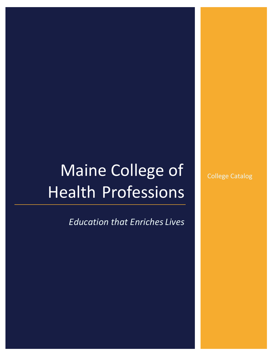# Maine College of Health Professions

*Education that Enriches Lives*

College Catalog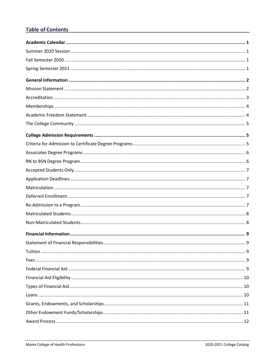# **Table of Contents**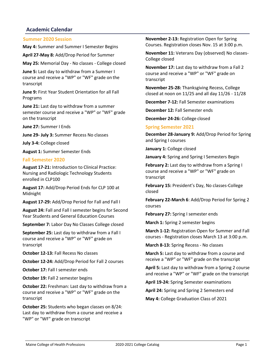# <span id="page-4-0"></span>**Academic Calendar**

<span id="page-4-1"></span>**Summer 2020 Session**

**May 4:** Summer and Summer I Semester Begins

**April 27-May 8:** Add/Drop Period for Summer

**May 25:** Memorial Day - No classes - College closed

**June 5:** Last day to withdraw from a Summer I course and receive a "WP" or "WF" grade on the transcript

**June 9:** First Year Student Orientation for all Fall Programs

**June 21:** Last day to withdraw from a summer semester course and receive a "WP" or "WF" grade on the transcript

**June 27:** Summer I Ends

**June 29- July 3:** Summer Recess No classes

**July 3-4:** College closed

**August 1:** Summer Semester Ends

#### <span id="page-4-2"></span>**Fall Semester 2020**

**August 17-21:** Introduction to Clinical Practice: Nursing and Radiologic Technology Students enrolled in CLP100

**August 17:** Add/Drop Period Ends for CLP 100 at Midnight

**August 17-29:** Add/Drop Period for Fall and Fall I

**August 24:** Fall and Fall I semester begins for Second Year Students and General Education Courses

**September 7:** Labor Day No Classes College closed

**September 25:** Last day to withdraw from a Fall I course and receive a "WP" or "WF" grade on transcript

**October 12-13:** Fall Recess No classes

**October 12-24:** Add/Drop Period for Fall 2 courses

**October 17: Fall I semester ends** 

**October 19: Fall 2 semester begins** 

**October 22:** Freshman: Last day to withdraw from a course and receive a "WP" or "WF" grade on the transcript

**October 25:** Students who began classes on 8/24: Last day to withdraw from a course and receive a "WP" or "WF" grade on transcript

**November 2-13:** Registration Open for Spring Courses. Registration closes Nov. 15 at 3:00 p.m.

**November 11:** Veterans Day (observed) No classes-College closed

**November 17:** Last day to withdraw from a Fall 2 course and receive a "WP" or "WF" grade on transcript

**November 25-28:** Thanksgiving Recess, College closed at noon on 11/25 and all day 11/26 - 11/28

**December 7-12:** Fall Semester examinations

**December 12:** Fall Semester ends

**December 24-26:** College closed

#### <span id="page-4-3"></span>**Spring Semester 2021**

**December 28-January 9:** Add/Drop Period for Spring and Spring I courses

**January 1:** College closed

**January 4:** Spring and Spring I Semesters Begin

**February 2:** Last day to withdraw from a Spring I course and receive a "WP" or "WF" grade on transcript

**February 15:** President's Day, No classes-College closed

**February 22-March 6**: Add/Drop Period for Spring 2 courses

**February 27: Spring I semester ends** 

**March 1:** Spring 2 semester begins

**March 1-12:** Registration Open for Summer and Fall courses - Registration closes March 13 at 3:00 p.m.

**March 8-13:** Spring Recess - No classes

**March 5:** Last day to withdraw from a course and receive a "WP" or "WF" grade on the transcript

**April 5:** Last day to withdraw from a Spring 2 course and receive a "WP" or "WF" grade on the transcript

**April 19-24:** Spring Semester examinations

**April 24:** Spring and Spring 2 Semesters end

**May 4:** College Graduation Class of 2021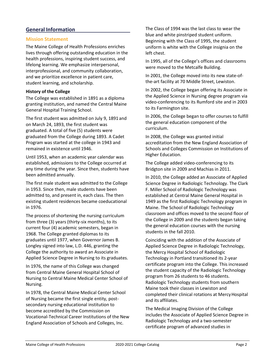# <span id="page-5-0"></span>**General Information**

# <span id="page-5-1"></span>**Mission Statement**

The Maine College of Health Professions enriches lives through offering outstanding education in the health professions, inspiring student success, and lifelong learning. We emphasize interpersonal, interprofessional, and community collaboration, and we prioritize excellence in patient care, student learning, and scholarship.

## **History of the College**

The College was established in 1891 as a diploma granting institution, and named the Central Maine General Hospital Training School.

The first student was admitted on July 9, 1891 and on March 24, 1893, the first student was graduated. A total of five (5) students were graduated from the College during 1893. A Cadet Program was started at the college in 1943 and remained in existence until 1946.

Until 1953, when an academic year calendar was established, admissions to the College occurred at any time during the year. Since then, students have been admitted annually.

The first male student was admitted to the College in 1953. Since then, male students have been admitted to, and present in, each class. The then existing student residences became coeducational in 1976.

The process of shortening the nursing curriculum from three (3) years (thirty-six months), to its current four (4) academic semesters, began in 1968. The College granted diplomas to its graduates until 1977, when Governor James B. Longley signed into law, L.D. 446, granting the College the authority to award an Associate in Applied Science Degree in Nursing to its graduates.

In 1976, the name of this College was changed from Central Maine General Hospital School of Nursing to Central Maine Medical Center School of Nursing.

In 1978, the Central Maine Medical Center School of Nursing became the first single entity, postsecondary nursing educational institution to become accredited by the Commission on Vocational-Technical Career Institutions of the New England Association of Schools and Colleges, Inc.

The Class of 1994 was the last class to wear the blue and white pinstriped student uniform. Beginning with the Class of 1995, the student uniform is white with the College insignia on the left chest.

In 1995, all of the College's offices and classrooms were moved to the Metcalfe Building.

In 2001, the College moved into its new state-ofthe-art facility at 70 Middle Street, Lewiston.

In 2002, the College began offering its Associate in the Applied Science in Nursing degree program via video-conferencing to its Rumford site and in 2003 to its Farmington site.

In 2006, the College began to offer courses to fulfill the general education component of the curriculum.

In 2008, the College was granted initial accreditation from the New England Association of Schools and Colleges Commission on Institutions of Higher Education.

The College added video-conferencing to its Bridgton site in 2009 and Machias in 2011.

In 2010, the College added an Associate of Applied Science Degree in Radiologic Technology. The Clark F. Miller School of Radiologic Technology was established at Central Maine General Hospital in 1949 as the first Radiologic Technology program in Maine. The School of Radiologic Technology classroom and offices moved to the second floor of the College in 2009 and the students began taking the general education courses with the nursing students in the fall 2010.

Coinciding with the addition of the Associate of Applied Science Degree in Radiologic Technology, the Mercy Hospital School of Radiologic Technology in Portland transitioned its 2-year certificate program into the College. This increased the student capacity of the Radiologic Technology program from 26 students to 46 students. Radiologic Technology students from southern Maine took their classes in Lewiston and completed their clinical rotations at Mercy Hospital and its affiliates.

The Medical Imaging Division of the College includes the Associate of Applied Science Degree in Radiologic Technology and a two-semester certificate program of advanced studies in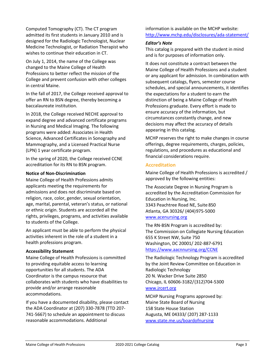Computed Tomography (CT). The CT program admitted its first students in January 2010 and is designed for the Radiologic Technologist, Nuclear Medicine Technologist, or Radiation Therapist who wishes to continue their education in CT.

On July 1, 2014, the name of the College was changed to the Maine College of Health Professions to better reflect the mission of the College and prevent confusion with other colleges in central Maine.

In the fall of 2017, the College received approval to offer an RN to BSN degree, thereby becoming a baccalaureate institution.

In 2018, the College received NECHE approval to expand degree and advanced certificate programs in Nursing and Medical Imaging. The following programs were added: Associates in Health Science, Advanced Certificates in Sonography and Mammography, and a Licensed Practical Nurse (LPN) 1 year certificate program.

In the spring of 2020, the College received CCNE accreditation for its RN to BSN program.

## **Notice of Non-Discrimination**

Maine College of Health Professions admits applicants meeting the requirements for admissions and does not discriminate based on religion, race, color, gender, sexual orientation, age, marital, parental, veteran's status, or national or ethnic origin. Students are accorded all the rights, privileges, programs, and activities available to students of the College.

An applicant must be able to perform the physical activities inherent in the role of a student in a health professions program.

## **Accessibility Statement**

Maine College of Health Professions is committed to providing equitable access to learning opportunities for all students. The ADA Coordinator is the campus resource that collaborates with students who have disabilities to provide and/or arrange reasonable accommodations.

If you have a documented disability, please contact the ADA Coordinator at (207) 330-7878 (TTD 207- 741-5667) to schedule an appointment to discuss reasonable accommodations. Additional

information is available on the MCHP website: <http://www.mchp.edu/disclosures/ada-statement/>

# *Editor's Note*

This catalog is prepared with the student in mind and is for purposes of information only.

It does not constitute a contract between the Maine College of Health Professions and a student or any applicant for admission. In combination with subsequent catalogs, flyers, semester course schedules, and special announcements, it identifies the expectations for a student to earn the distinction of being a Maine College of Health Professions graduate. Every effort is made to ensure accuracy of the information, but circumstances constantly change, and new decisions may affect the accuracy of details appearing in this catalog.

MCHP reserves the right to make changes in course offerings, degree requirements, charges, policies, regulations, and procedures as educational and financial considerations require.

# <span id="page-6-0"></span>**Accreditation**

Maine College of Health Professions is accredited / approved by the following entities:

The Associate Degree in Nursing Program is accredited by the Accreditation Commission for Education in Nursing, Inc. 3343 Peachtree Road NE, Suite 850 Atlanta, GA 30326/ (404)975-5000 [www.acenursing.org](http://www.acenursing.org/)

The RN-BSN Program is accredited by: The Commission on Collegiate Nursing Education 655 K Street NW, Suite 750 Washington, DC 20001/ 202-887-6791 <https://www.aacnnursing.org/CCNE>

The Radiologic Technology Program is accredited by the Joint Review Committee on Education in Radiologic Technology 20 N. Wacker Drive Suite 2850 Chicago, IL 60606-3182/(312)704-5300 [www.jrcert.org](http://www.jrcert.org/)

MCHP Nursing Programs approved by: Maine State Board of Nursing 158 State House Station Augusta, ME 04333/ (207) 287-1133 [www.state.me.us/boardofnursing](http://www.state.me.us/boardofnursing)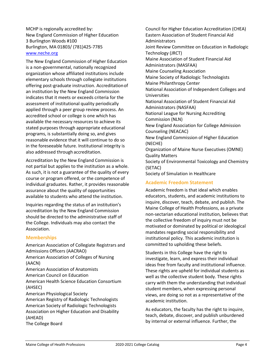MCHP is regionally accredited by: New England Commission of Higher Education 3 Burlington Woods #100 Burlington, MA 01803/ (781)425-7785 [www.neche.org](http://www.neche.org/)

The New England Commission of Higher Education is a non-governmental, nationally recognized organization whose affiliated institutions include elementary schools through collegiate institutions offering post-graduate instruction. Accreditationof an institution by the New England Commission indicates that it meets or exceeds criteria for the assessment of institutional quality periodically applied through a peer group review process. An accredited school or college is one which has available the necessary resources to achieve its stated purposes through appropriate educational programs, is substantially doing so, and gives reasonable evidence that it will continue to do so in the foreseeable future. Institutional integrity is also addressed through accreditation.

Accreditation by the New England Commission is not partial but applies to the institution as a whole. As such, it is not a guarantee of the quality of every course or program offered, or the competence of individual graduates. Rather, it provides reasonable assurance about the quality of opportunities available to students who attend the institution.

Inquiries regarding the status of an institution's accreditation by the New England Commission should be directed to the administrative staff of the College. Individuals may also contact the Association.

## <span id="page-7-0"></span>**Memberships**

American Association of Collegiate Registrars and Admissions Officers (AACRAO) American Association of Colleges of Nursing (AACN) American Association of Anatomists American Council on Education American Health Science Education Consortium (AHSEC) American Physiological Society American Registry of Radiologic Technologists American Society of Radiologic Technologists Association on Higher Education and Disability (AHEAD) The College Board

Council for Higher Education Accreditation (CHEA) Eastern Association of Student Financial Aid Administrators Joint Review Committee on Education in Radiologic Technology (JRCT) Maine Association of Student Financial Aid Administrators (MASFAA) Maine Counseling Association Maine Society of Radiologic Technologists Maine Philanthropy Center National Association of Independent Colleges and Universities National Association of Student Financial Aid Administrators (NASFAA) National League for Nursing Accrediting Commission (NLN) New England Association for College Admission Counseling (NEACAC) New England Commission of Higher Education (NECHE) Organization of Maine Nurse Executives (OMNE) Quality Matters Society of Environmental Toxicology and Chemistry (SETAC) Society of Simulation in Healthcare

# <span id="page-7-1"></span>**Academic Freedom Statement**

Academic freedom is that ideal which enables educators, students, and academic institutions to inquire, discover, teach, debate, and publish. The Maine College of Health Professions, as a private non-sectarian educational institution, believes that the collective freedom of inquiry must not be motivated or dominated by political or ideological mandates regarding social responsibility and institutional policy. This academic institution is committed to upholding these beliefs.

Students in this College have the right to investigate, learn, and express their individual ideas free from faculty and institutional influence. These rights are upheld for individual students as well as the collective student body. These rights carry with them the understanding that individual student members, when expressing personal views, are doing so not as a representative of the academic institution.

As educators, the faculty has the right to inquire, teach, debate, discover, and publish unburdened by internal or external influence. Further, the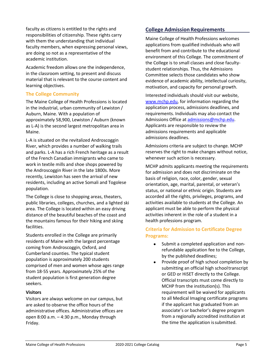faculty as citizens is entitled to the rights and responsibilities of citizenship. These rights carry with them the understanding that individual faculty members, when expressing personal views, are doing so not as a representative of the academic institution.

Academic freedom allows one the independence, in the classroom setting, to present and discuss material that is relevant to the course content and learning objectives.

# <span id="page-8-0"></span>**The College Community**

The Maine College of Health Professions is located in the industrial, urban community of Lewiston / Auburn, Maine. With a population of approximately 58,900, Lewiston / Auburn (known as L-A) is the second largest metropolitan area in Maine.

L-A is situated on the revitalized Androscoggin River, which provides a number of walking trails and parks. L-A has a rich French heritage as a result of the French Canadian immigrants who came to work in textile mills and shoe shops powered by the Androscoggin River in the late 1800s. More recently, Lewiston has seen the arrival of new residents, including an active Somali and Togolese population.

The College is close to shopping areas, theaters, public libraries, colleges, churches, and a lighted ski area. The College is located within an easy driving distance of the beautiful beaches of the coast and the mountains famous for their hiking and skiing facilities.

Students enrolled in the College are primarily residents of Maine with the largest percentage coming from Androscoggin, Oxford, and Cumberland counties. The typical student population is approximately 200 students comprised of men and women whose ages range from 18-55 years. Approximately 25% of the student population is first generation degree seekers.

# **Visitors**

Visitors are always welcome on our campus, but are asked to observe the office hours of the administrative offices. Administrative offices are open  $8:00$  a.m.  $-4:30$  p.m., Monday through Friday.

# <span id="page-8-1"></span>**College Admission Requirements**

Maine College of Health Professions welcomes applications from qualified individuals who will benefit from and contribute to the educational environment of this College. The commitment of the College is to small classes and close facultystudent relationships. Thus, the Admissions Committee selects those candidates who show evidence of academic ability, intellectual curiosity, motivation, and capacity for personal growth.

Interested individuals should visit our website, [www.mchp.edu, f](http://www.mchp.edu/)or information regarding the application process, admissions deadlines, and requirements. Individuals may also contact the Admissions Office a[t admissions@mchp.edu.](mailto:admissions@mchp.edu) Applicants are responsible to review the admissions requirements and applicable admissions deadlines.

Admissions criteria are subject to change. MCHP reserves the right to make changes without notice, whenever such action is necessary.

MCHP admits applicants meeting the requirements for admission and does not discriminate on the basis of religion, race, color, gender, sexual orientation, age, marital, parental, or veteran's status, or national or ethnic origin. Students are accorded all the rights, privileges, programs, and activities available to students at the College. An applicant must be able to perform the physical activities inherent in the role of a student in a health professions program.

# <span id="page-8-2"></span>**Criteria for Admission to Certificate Degree Programs:**

- Submit a completed application and nonrefundable application fee to the College, by the published deadlines;
- Provide proof of high school completion by submitting an official high schooltranscript or GED or HiSET directly to the College. Official transcripts must come directly to MCHP from the institution(s). This requirement will be waived for applicants to all Medical Imaging certificate programs if the applicant has graduated from an associate's or bachelor's degree program from a regionally accredited institution at the time the application issubmitted.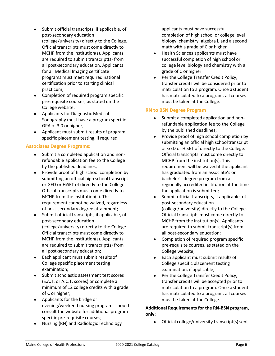- Submit official transcripts, if applicable, of post-secondary education (college/university) directly to the College. Official transcripts must come directly to MCHP from the institution(s). Applicants are required to submit transcript(s) from all post-secondary education. Applicants for all Medical Imaging certificate programs must meet required national certification prior to starting clinical practicum;
- Completion of required program specific pre-requisite courses, as stated on the College website;
- Applicants for Diagnostic Medical Sonography must have a program specific GPA of 3.0 or higher;
- Applicant must submit results of program specific placement testing, if required.

## <span id="page-9-0"></span>**Associates Degree Programs:**

- Submit a completed application and nonrefundable application fee to the College by the published deadlines;
- Provide proof of high school completion by submitting an official high schooltranscript or GED or HiSET of directly to the College. Official transcripts must come directly to MCHP from the institution(s). This requirement cannot be waived, regardless of post-secondary degree attainment;
- Submit official transcripts, if applicable, of post-secondary education (college/university) directly to the College. Official transcripts must come directly to MCHP from the institution(s). Applicants are required to submit transcript(s) from all post-secondary education;
- Each applicant must submit results of College specific placement testing examination;
- Submit scholastic assessment test scores (S.A.T. or A.C.T. scores) or complete a minimum of 12 college credits with a grade of C or higher;
- Applicants for the bridge or evening/weekend nursing programs should consult the website for additional program specific pre-requisite courses;
- Nursing (RN) and Radiologic Technology

applicants must have successful completion of high school or college level biology, chemistry, algebra I, and a second math with a grade of C or higher

- Health Sciences applicants must have successful completion of high school or college level biology and chemistry with a grade of C or higher
- Per the College Transfer Credit Policy, transfer credits will be considered prior to matriculation to a program. Once a student has matriculated to a program, all courses must be taken at the College.

## <span id="page-9-1"></span>**RN to BSN Degree Program**

- Submit a completed application and nonrefundable application fee to the College by the published deadlines;
- Provide proof of high school completion by submitting an official high schooltranscript or GED or HiSET of directly to the College. Official transcripts must come directly to MCHP from the institution(s). This requirement will be waived if the applicant has graduated from an associate's or bachelor's degree program from a regionally accredited institution at the time the application is submitted;
- Submit official transcripts, if applicable, of post-secondary education (college/university) directly to the College. Official transcripts must come directly to MCHP from the institution(s). Applicants are required to submit transcript(s) from all post-secondary education;
- Completion of required program specific pre-requisite courses, as stated on the College website;
- Each applicant must submit results of College specific placement testing examination, if applicable;
- Per the College Transfer Credit Policy, transfer credits will be accepted prior to matriculation to a program. Once a student has matriculated to a program, all courses must be taken at the College.

# **Additional Requirements for the RN-BSN program, only:**

Official college/university transcript(s) sent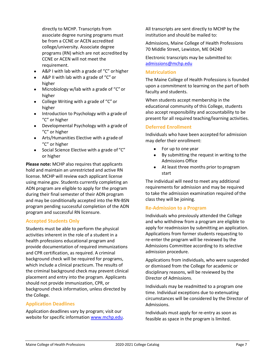directly to MCHP. Transcripts from associate degree nursing programs must be from a CCNE or ACEN accredited college/university. Associate degree programs (RN) which are not accredited by CCNE or ACEN will not meet the requirement.

- A&P I with lab with a grade of "C" orhigher
- A&P II with lab with a grade of "C" or higher
- Microbiology w/lab with a grade of "C" or higher
- College Writing with a grade of "C" or higher
- Introduction to Psychology with a grade of "C" or higher
- Developmental Psychology with a grade of "C" or higher
- Arts/Humanities Elective with a grade of "C" or higher
- Social Science Elective with a grade of "C" or higher

**Please note:** MCHP also requires that applicants hold and maintain an unrestricted and active RN license. MCHP will review each applicant license using maine.gov. Students currently completing an ADN program are eligible to apply for the program during their final semester of their ADN program and may be conditionally accepted into the RN-BSN program pending successful completion of the ADN program and successful RN licensure.

## **Accepted Students Only**

Students must be able to perform the physical activities inherent in the role of a student in a health professions educational program and provide documentation of required immunizations and CPR certification, as required. A criminal background check will be required for programs, which include a clinical practicum. The results of the criminal background check may prevent clinical placement and entry into the program. Applicants should not provide immunization, CPR, or background check information, unless directed by the College.

#### <span id="page-10-1"></span>**Application Deadlines**

Application deadlines vary by program; visit our website for specific information [www.mchp.edu.](http://www.mchp.edu/) All transcripts are sent directly to MCHP by the institution and should be mailed to:

Admissions, Maine College of Health Professions 70 Middle Street, Lewiston, ME 04240

Electronic transcripts may be submitted to: [admissions@mchp.edu](mailto:admissions@mchp.edu)

#### <span id="page-10-2"></span>**Matriculation**

The Maine College of Health Professions is founded upon a commitment to learning on the part of both faculty and students.

When students accept membership in the educational community of this College, students also accept responsibility and accountability to be present for all required teaching/learning activities.

#### <span id="page-10-3"></span>**Deferred Enrollment**

Individuals who have been accepted for admission may defer their enrollment:

- For up to one year
- By submitting the request in writing to the Admissions Office
- At least three months prior to program start

The individual will need to meet any additional requirements for admission and may be required to take the admission examination required of the class they will be joining.

#### <span id="page-10-4"></span><span id="page-10-0"></span>**Re-Admission to a Program**

Individuals who previously attended the College and who withdrew from a program are eligible to apply for readmission by submitting an application. Applications from former students requesting to re-enter the program will be reviewed by the Admissions Committee according to its selective admission procedure.

Applications from individuals, who were suspended or dismissed from the College for academic or disciplinary reasons, will be reviewed by the Director of Admissions.

Individuals may be readmitted to a program one time. Individual exceptions due to extenuating circumstances will be considered by the Director of Admissions.

Individuals must apply for re-entry as soon as feasible as space in the program is limited.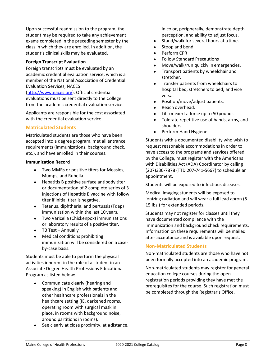Upon successful readmission to the program, the student may be required to take any achievement exams completed in the preceding semester by the class in which they are enrolled. In addition, the student's clinical skills may be evaluated.

## **Foreign Transcript Evaluation**

Foreign transcripts must be evaluated by an academic credential evaluation service, which is a member of the National Association of Credential Evaluation Services, NACES

[\(http://www.naces.org\)](http://www.naces.org/). Official credential evaluations must be sent directly to the College from the academic credential evaluation service.

Applicants are responsible for the cost associated with the credential evaluation service.

# <span id="page-11-0"></span>**Matriculated Students**

Matriculated students are those who have been accepted into a degree program, met all entrance requirements (immunizations, background check, etc.), and have enrolled in their courses.

## **Immunization Record**

- Two MMRs or positive titers for Measles, Mumps, and Rubella.
- Hepatitis B positive surface antibody titer or documentation of 2 complete series of 3 injections of Hepatitis B vaccine with follow titer if initial titer is negative.
- Tetanus, diphtheria, and pertussis(Tdap) immunization within the last 10 years.
- Two Varicella (Chickenpox) immunizations or laboratory results of a positive titer.
- TB Test Annually
- Medical conditions prohibiting immunization will be considered on a caseby-case basis.

Students must be able to perform the physical activities inherent in the role of a student in an Associate Degree Health Professions Educational Program as listed below:

- Communicate clearly (hearing and speaking) in English with patients and other healthcare professionals in the healthcare setting (IE. darkened rooms, operating room with surgical mask in place, in rooms with background noise, around partitions in rooms).
- See clearly at close proximity, at adistance,

in color, peripherally, demonstrate depth perception, and ability to adjust focus.

- Stand/walk for several hours at atime.
- Stoop and bend.
- Perform CPR
- Follow Standard Precautions
- Move/walk/run quickly in emergencies.
- Transport patients by wheelchair and stretcher.
- Transfer patients from wheelchairs to hospital bed, stretchers to bed, and vice versa.
- Position/move/adjust patients.
- Reach overhead.
- Lift or exert a force up to 50 pounds.
- Tolerate repetitive use of hands, arms, and shoulders.
- Perform Hand Hygiene

Students with a documented disability who wish to request reasonable accommodations in order to have access to the programs and services offered by the College, must register with the Americans with Disabilities Act (ADA) Coordinator by calling (207)330-7878 (TTD 207-741-5667) to schedule an appointment.

Students will be exposed to infectious diseases.

Medical Imaging students will be exposed to ionizing radiation and will wear a full lead apron (6- 15 lbs.) for extended periods.

Students may not register for classes until they have documented compliance with the immunization and background check requirements. Information on these requirements will be mailed after acceptance and is available upon request.

# <span id="page-11-1"></span>**Non-Matriculated Students**

Non-matriculated students are those who have not been formally accepted into an academic program.

Non-matriculated students may register for general education college courses during the open registration periods providing they have met the prerequisites for the course. Such registration must be completed through the Registrar's Office.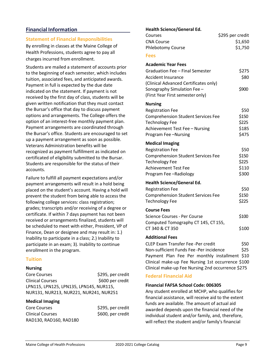# <span id="page-12-0"></span>**Financial Information**

## <span id="page-12-1"></span>**Statement of Financial Responsibilities**

By enrolling in classes at the Maine College of Health Professions, students agree to pay all charges incurred from enrollment.

Students are mailed a statement of accounts prior to the beginning of each semester, which includes tuition, associated fees, and anticipated awards. Payment in full is expected by the due date indicated on the statement. If payment is not received by the first day of class, students will be given written notification that they must contact the Bursar's office that day to discuss payment options and arrangements. The College offers the option of an interest-free monthly payment plan. Payment arrangements are coordinated through the Bursar's office. Students are encouraged to set up a payment arrangement as soon as possible. Veterans Administration benefits will be recognized as payment fulfillment as indicated on certificated of eligibility submitted to the Bursar. Students are responsible for the status of their accounts.

Failure to fulfill all payment expectations and/or payment arrangements will result in a hold being placed on the student's account. Having a hold will prevent the student from being able to access the following college services: class registration; grades; transcripts and/or receiving of a degree or certificate. If within 7 days payment has not been received or arrangements finalized, students will be scheduled to meet with either, President, VP of Finance, Dean or designee and may result in: 1.) Inability to participate in a class; 2.) Inability to participate in an exam; 3). Inability to continue enrollment in the program.

## <span id="page-12-2"></span>**Tuition**

#### **Nursing**

Core Courses  $$295, per credit$ Clinical Courses \$600 per credit LPN115, LPN125, LPN135, LPN145, NUR115, NUR131, NUR213, NUR221, NUR241, NUR251

## **Medical Imaging**

| Core Courses            | \$295, per credit |
|-------------------------|-------------------|
| <b>Clinical Courses</b> | \$600, per credit |
| RAD130, RAD160, RAD180  |                   |

## **Health Science/General Ed.**

<span id="page-12-3"></span>

| Health Science/General Ed.                        |                  |
|---------------------------------------------------|------------------|
| Courses                                           | \$295 per credit |
| <b>CNA Course</b>                                 | \$1,650          |
| <b>Phlebotomy Course</b>                          | \$1,750          |
| <b>Fees</b>                                       |                  |
| <b>Academic Year Fees</b>                         |                  |
| Graduation Fee - Final Semester                   | \$275            |
| <b>Accident Insurance</b>                         | \$80             |
| (Clinical Advanced Certificates only)             |                  |
| Sonography Simulation Fee-                        | \$900            |
| (First Year First semester only)                  |                  |
| <b>Nursing</b>                                    |                  |
| <b>Registration Fee</b>                           | \$50             |
| <b>Comprehension Student Services Fee</b>         | \$150            |
| <b>Technology Fee</b>                             | \$225            |
| Achievement Test Fee - Nursing                    | \$185            |
| Program Fee-Nursing                               | \$475            |
| <b>Medical Imaging</b>                            |                  |
| <b>Registration Fee</b>                           | \$50             |
| <b>Comprehension Student Services Fee</b>         | \$150            |
| <b>Technology Fee</b>                             | \$225            |
| <b>Achievement Test Fee</b>                       | \$110            |
| Program Fee-Radiology                             | \$300            |
| <b>Health Science/General Ed.</b>                 |                  |
| <b>Registration Fee</b>                           | \$50             |
| <b>Comprehension Student Services Fee</b>         | \$150            |
| <b>Technology Fee</b>                             | \$225            |
| <b>Course Fees</b>                                |                  |
| Science Courses - Per Course                      | \$100            |
| Computed Tomography CT 145, CT 155,               |                  |
| CT 340 & CT 350                                   | \$100            |
| <b>Additional Fees</b>                            |                  |
| <b>CLEP Exam Transfer Fee-Per credit</b>          | \$50             |
| Non-sufficient Funds Fee-Per incidence            | \$25             |
| Payment Plan Fee Per monthly installment \$10     |                  |
| Clinical make-up Fee Nursing 1st occurrence \$100 |                  |

# <span id="page-12-4"></span>**Federal Financial Aid**

#### **Financial FAFSA School Code: 006305**

Any student enrolled at MCHP, who qualifies for financial assistance, will receive aid to the extent funds are available. The amount of actual aid awarded depends upon the financial need of the individual student and/or family, and, therefore, will reflect the student and/or family's financial

Clinical make-up Fee Nursing 2nd occurrence \$275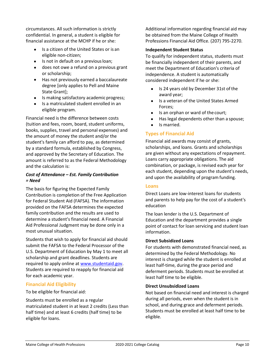circumstances. All such information is strictly confidential. In general, a student is eligible for financial assistance at the MCHP if he or she:

- Is a citizen of the United States or is an eligible non-citizen;
- Is not in default on a previous loan;
- does not owe a refund on a previous grant or scholarship;
- Has not previously earned a baccalaureate degree [only applies to Pell and Maine State Grant];
- Is making satisfactory academic progress;
- Is a matriculated student enrolled in an eligible program.

Financial need is the difference between costs (tuition and fees, room, board, student uniforms, books, supplies, travel and personal expenses) and the amount of money the student and/or the student's family can afford to pay, as determined by a standard formula, established by Congress, and approved by the Secretary of Education. The amount is referred to as the Federal Methodology and the calculation is:

# *Cost of Attendance – Est. Family Contribution = Need*

The basis for figuring the Expected Family Contribution is completion of the Free Application for Federal Student Aid (FAFSA). The information provided on the FAFSA determines the expected family contribution and the results are used to determine a student's financial need. A Financial Aid Professional Judgment may be done only in a most unusual situation.

Students that wish to apply for financial aid should submit the FAFSA to the Federal Processor of the U.S. Department of Education by May 1 to meet all scholarship and grant deadlines. Students are required to apply online at [www.studentaid.gov.](http://www.fafsa.gov/) Students are required to reapply for financial aid for each academic year.

# <span id="page-13-0"></span>**Financial Aid Eligibility**

To be eligible for financial aid:

Students must be enrolled as a regular matriculated student in at least 2 credits (Less than half time) and at least 6 credits (half time) to be eligible for loans.

Additional information regarding financial aid may be obtained from the Maine College of Health Professions Financial Aid Office. (207) 795-2270.

# **Independent Student Status**

To qualify for independent status, students must be financially independent of their parents, and meet the Department of Education's criteria of independence. A student is automatically considered independent if he or she:

- Is 24 years old by December 31st of the award year;
- Is a veteran of the United States Armed Forces;
- Is an orphan or ward of the court;
- Has legal dependents other than a spouse;
- Is married.

# <span id="page-13-1"></span>**Types of Financial Aid**

Financial aid awards may consist of grants, scholarships, and loans. Grants and scholarships are given without any expectations of repayment. Loans carry appropriate obligations. The aid combination, or package, is revised each year for each student, depending upon the student's needs, and upon the availability of program funding.

# <span id="page-13-2"></span>**Loans**

Direct Loans are low-interest loans for students and parents to help pay for the cost of a student's education

The loan lender is the U.S. Department of Education and the department provides a single point of contact for loan servicing and student loan information.

## **Direct Subsidized Loans**

For students with demonstrated financial need, as determined by the Federal Methodology. No interest is charged while the student is enrolled at least half-time, during the grace period and deferment periods. Students must be enrolled at least half time to be eligible.

## **Direct Unsubsidized Loans**

Not based on financial need and interest is charged during all periods, even when the student is in school, and during grace and deferment periods. Students must be enrolled at least half time to be eligible.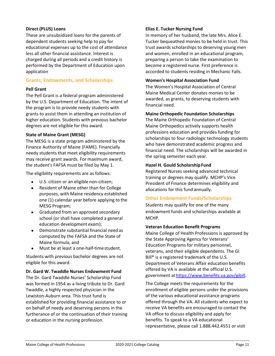# **Direct (PLUS) Loans**

These are unsubsidized loans for the parents of dependent students seeking help to pay for educational expenses up to the cost of attendance less all other financial assistance. Interest is charged during all periods and a credit history is performed by the Department of Education upon application

# <span id="page-14-0"></span>**Grants, Endowments, and Scholarships**

## **Pell Grant**

The Pell Grant is a federal program administered by the U.S. Department of Education. The intent of the program is to provide needy students with grants to assist them in attending an institution of higher education. Students with previous bachelor degrees are not eligible for this award.

## **State of Maine Grant (MESG)**

The MESG is a state program administered by the Finance Authority of Maine (FAME). Financially needy students that meet eligibility requirements may receive grant awards. For maximum award, the student's FAFSA must be filed by May 1.

The eligibility requirements are as follows:

- U.S. citizen or an eligible non-citizen;
- Resident of Maine other than for College purposes, with Maine residency established one (1) calendar year before applying to the MESG Program;
- Graduated from an approved secondary school (or shall have completed a general education development exam);
- Demonstrate substantial financial need as computed by the FAFSA and the State of Maine formula; and
- Must be at least a one-half-timestudent.

Students with previous bachelor degrees are not eligible for this award.

## **Dr. Gard W. Twaddle Nurses Endowment Fund**

The Dr. Gard Twaddle Nurses' Scholarship Fund was formed in 1954 as a living tribute to Dr. Gard Twaddle, a highly respected physician in the Lewiston-Auburn area. This trust fund is established for providing financial assistance to or on behalf of needy and deserving persons in the furtherance of or the continuation of their training or education in the nursing profession.

# **Elias E. Tucker Nursing Fund**

In memory of her husband, the late Mrs. Alice E. Tucker bequeathed monies to be held in trust. This trust awards scholarships to deserving young men and women, enrolled in an educational program, preparing a person to take the examination to become a registered nurse. First preference is accorded to students residing in Mechanic Falls.

## **Women's Hospital Association Fund**

The Women's Hospital Association of Central Maine Medical Center donates monies to be awarded, as grants, to deserving students with financial need.

## **Maine Orthopedic Foundation Scholarships**

The Maine Orthopedic Foundation of Central Maine Orthopedics actively supports health professions education and provides funding for scholarships to four radiologic technology students who have demonstrated academic progress and financial need. The scholarships will be awarded in the spring semester each year.

## **Hazel H. Gould ScholarshipFund**

Registered Nurses seeking advanced technical training or degrees may qualify. MCHP's Vice President of Finance determines eligibility and allocations for this fund annually.

# <span id="page-14-1"></span>**Other Endowment Funds/Scholarships**

Students may qualify for one of the many endowment funds and scholarships available at MCHP.

## **Veteran Education Benefit Programs**

Maine College of Health Professions is approved by the State Approving Agency for Veterans' Education Programs for military personnel, veterans, and their eligible dependents. The GI Bill<sup>®</sup> is a registered trademark of the U.S. Department of Veterans Affair education benefits offered by VA is available at the official U.S. government at https://www.benefits.va.gov/gibill.

The College meets the requirements for the enrollment of eligible persons under the provisions of the various educational assistance programs offered through the VA. All students who expect to receive VA benefits are encouraged to contact the VA office to discuss eligibility and apply for benefits. To speak to a VA educational representative, please call 1.888.442.4551 or visit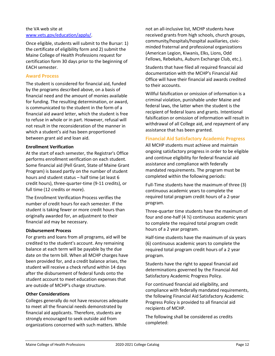# the VA web site at [www.vets.gov/education/apply/.](http://www.vets.gov/education/apply/)

Once eligible, students will submit to the Bursar: 1) the certificate of eligibility form and 2) submit the Maine College of Health Professions request for certification form 30 days prior to the beginning of EACH semester.

## <span id="page-15-0"></span>**Award Process**

The student is considered for financial aid, funded by the programs described above, on a basis of financial need and the amount of monies available for funding. The resulting determination, or award, is communicated to the student in the form of a financial aid award letter, which the student is free to refuse in whole or in part. However, refusal will not result in the reconsideration of the manner in which a student's aid has been proportioned between grant aid and loan aid.

## **Enrollment Verification**

At the start of each semester, the Registrar's Office performs enrollment verification on each student. Some financial aid (Pell Grant, State of Maine Grant Program) is based partly on the number of student hours and student status – half time (at least 6 credit hours), three-quarter-time (9-11 credits), or full time (12 credits or more).

The Enrollment Verification Process verifies the number of credit hours for each semester. If the student is taking fewer or more credit hours than originally awarded for, an adjustment to their financial aid may be necessary.

## **Disbursement Process**

For grants and loans from all programs, aid will be credited to the student's account. Any remaining balance at each term will be payable by the due date on the term bill. When all MCHP charges have been provided for, and a credit balance arises, the student will receive a check refund within 14 days after the disbursement of federal funds onto the student account to meet education expenses that are outside of MCHP's charge structure.

## **Other Considerations**

Colleges generally do not have resources adequate to meet all the financial needs demonstrated by financial aid applicants. Therefore, students are strongly encouraged to seek outside aid from organizations concerned with such matters. While

not an all-inclusive list, MCHP students have received grants from high schools, church groups, community/hospitals/hospital auxiliaries, civicminded fraternal and professional organizations (American Legion, Kiwanis, Elks, Lions, Odd Fellows, Rebekahs, Auburn Exchange Club, etc.).

Students that have filed all required financial aid documentation with the MCHP's Financial Aid Office will have their financial aid awards credited to their accounts.

Willful falsification or omission of information is a criminal violation, punishable under Maine and federal laws, the latter when the student is the recipient of federal loans and grants. Intentional falsification or omission of information will result in withdrawal of all College aid, and repayment of any assistance that has been granted.

# <span id="page-15-1"></span>**Financial Aid Satisfactory Academic Progress**

All MCHP students must achieve and maintain ongoing satisfactory progress in order to be eligible and continue eligibility for federal financial aid assistance and compliance with federally mandated requirements. The program must be completed within the following periods:

Full-Time students have the maximum of three (3) continuous academic years to complete the required total program credit hours of a 2-year program.

Three-quarter time students have the maximum of four and one-half (4 ½) continuous academic years to complete the required total program credit hours of a 2 year program.

Half-time students have the maximum of six years (6) continuous academic years to complete the required total program credit hours of a 2 year program.

Students have the right to appeal financial aid determinations governed by the Financial Aid Satisfactory Academic Progress Policy.

For continued financial aid eligibility, and compliance with federally mandated requirements, the following Financial Aid Satisfactory Academic Progress Policy is provided to all financial aid recipients of MCHP.

The following shall be considered as credits completed: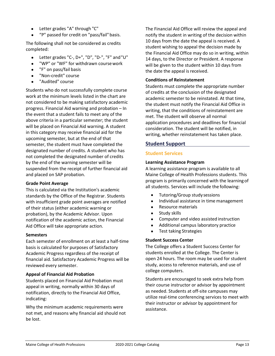- Letter grades "A" through "C"
- "P" passed for credit on "pass/fail"basis.

The following shall not be considered as credits completed:

- Letter grades "C-, D+", "D", "D-", "F" and"U"
- "WP" or "WF" for withdrawn coursework
- "F" on pass/fail basis
- "Non-credit" course
- "Audited" course

Students who do not successfully complete course work at the minimum levels listed in the chart are not considered to be making satisfactory academic progress. Financial Aid warning and probation – In the event that a student fails to meet any of the above criteria in a particular semester; the student will be placed on Financial Aid warning. A student in this category may receive financial aid for the upcoming semester, but at the end of that semester, the student must have completed the designated number of credits. A student who has not completed the designated number of credits by the end of the warning semester will be suspended from the receipt of further financial aid and placed on SAP probation.

## **Grade Point Average**

This is calculated via the Institution's academic standards by the Office of the Registrar. Students with insufficient grade point averages are notified of their status (either academic warning or probation), by the Academic Advisor. Upon notification of the academic action, the Financial Aid Office will take appropriate action.

## **Semesters**

Each semester of enrollment on at least a half-time basis is calculated for purposes of Satisfactory Academic Progress regardless of the receipt of financial aid. Satisfactory Academic Progress will be reviewed every semester.

## **Appeal of Financial Aid Probation**

Students placed on Financial Aid Probation must appeal in writing, normally within 30 days of notification, directly to the Financial Aid Office, indicating:

Why the minimum academic requirements were not met, and reasons why financial aid should not be lost.

The Financial Aid Office will review the appeal and notify the student in writing of the decision within 10 days from the date the appeal is received. A student wishing to appeal the decision made by the Financial Aid Office may do so in writing, within 14 days, to the Director or President. A response will be given to the student within 10 days from the date the appeal is received.

## **Conditions of Reinstatement**

Students must complete the appropriate number of credits at the conclusion of the designated academic semester to be reinstated. At that time, the student must notify the Financial Aid Office in writing, that the conditions of reinstatement are met. The student will observe all normal application procedures and deadlines for financial consideration. The student will be notified, in writing, whether reinstatement has taken place.

# <span id="page-16-0"></span>**Student Support**

## <span id="page-16-1"></span>**Student Services**

## **Learning Assistance Program**

A learning assistance program is available to all Maine College of Health Professions students. This program is primarily concerned with the learningof all students. Services will include the following:

- Tutoring/Group study sessions
- Individual assistance in time management
- Resource materials
- Study skills
- Computer and video assisted instruction
- Additional campus laboratory practice
- Test taking Strategies

## **Student Success Center**

The College offers a Student Success Center for students enrolled at the College. The Center is open 24 hours. The room may be used for student study, access to reference materials, and use of college computers.

Students are encouraged to seek extra help from their course instructor or advisor by appointment as needed. Students at off-site campuses may utilize real-time conferencing services to meet with their instructor or advisor by appointment for assistance.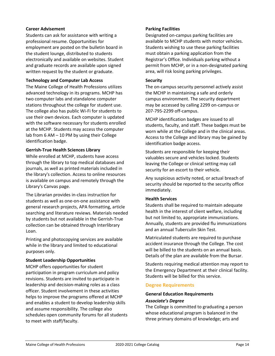## **Career Advisement**

Students can ask for assistance with writing a professional resume. Opportunities for employment are posted on the bulletin board in the student lounge, distributed to students electronically and available on websites. Student and graduate records are available upon signed written request by the student or graduate.

## **Technology and Computer Lab Access**

The Maine College of Health Professions utilizes advanced technology in its programs. MCHP has two computer labs and standalone computer stations throughout the college for student use. The college also has public Wi-Fi for students to use their own devices. Each computer is updated with the software necessary for students enrolled at the MCHP. Students may access the computer lab from 6 AM – 10 PM by using their College identification badge.

## **Gerrish-True Health Sciences Library**

While enrolled at MCHP, students have access through the library to top medical databases and journals, as well as printed materials included in the library's collection. Access to online resources is available on campus and remotely through the Library's Canvas page.

The Librarian provides in-class instruction for students as well as one-on-one assistance with general research projects, APA formatting, article searching and literature reviews. Materials needed by students but not available in the Gerrish-True collection can be obtained through Interlibrary Loan.

Printing and photocopying services are available while in the library and limited to educational purposes only.

## **Student Leadership Opportunities**

MCHP offers opportunities for student participation in program curriculum and policy revisions. Students are invited to participate in leadership and decision-making roles as a class officer. Student involvement in these activities helps to improve the programs offered at MCHP and enables a student to develop leadership skills and assume responsibility. The college also schedules open community forums for all students to meet with staff/faculty.

# **Parking Facilities**

Designated on-campus parking facilities are available to MCHP students with motor vehicles. Students wishing to use these parking facilities must obtain a parking application from the Registrar's Office. Individuals parking without a permit from MCHP, or in a non-designated parking area, will risk losing parking privileges.

## **Security**

The on-campus security personnel actively assist the MCHP in maintaining a safe and orderly campus environment. The security department may be accessed by calling 2299 on-campus or 207-795-2299 off-campus.

MCHP identification badges are issued to all students, faculty, and staff. These badges must be worn while at the College and in the clinical areas. Access to the College and library may be gained by identification badge access.

Students are responsible for keeping their valuables secure and vehicles locked. Students leaving the College or clinical setting may call security for an escort to their vehicle.

Any suspicious activity noted, or actual breach of security should be reported to the security office immediately.

# **Health Services**

Students shall be required to maintain adequate health in the interest of client welfare, including but not limited to, appropriate immunizations. Annually, students are provided flu immunizations and an annual Tuberculin Skin Test.

Matriculated students are required to purchase accident insurance through the College. The cost will be billed to the students on an annual basis. Details of the plan are available from the Bursar.

Students requiring medical attention may report to the Emergency Department at their clinical facility. Students will be billed for this service.

# <span id="page-17-0"></span>**Degree Requirements**

# **General Education Requirements** *Associate's Degree*

The College is committed to graduating a person whose educational program is balanced in the three primary domains of knowledge; arts and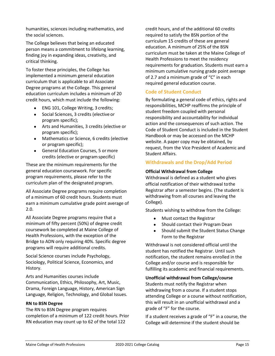humanities, sciences including mathematics, and the social sciences.

The College believes that being an educated person means a commitment to lifelong learning, finding joy in expanding ideas, creativity, and critical thinking.

To foster these principles, the College has implemented a minimum general education curriculum that is applicable to all Associate Degree programs at the College. This general education curriculum includes a minimum of 20 credit hours, which must include the following:

- ENG 101, College Writing, 3 credits;
- Social Sciences, 3 credits (elective or program specific);
- Arts and Humanities, 3 credits (elective or program specific);
- Mathematics or Science, 6 credits (elective or program specific);
- General Education Courses, 5 ormore credits (elective or programspecific)

These are the minimum requirements for the general education coursework. For specific program requirements, please refer to the curriculum plan of the designated program.

All Associate Degree programs require completion of a minimum of 60 credit hours. Students must earn a minimum cumulative grade point average of 2.0.

All Associate Degree programs require that a minimum of fifty percent (50%) of degree credit coursework be completed at Maine College of Health Professions, with the exception of the Bridge to ADN only requiring 40%. Specific degree programs will require additional credits.

Social Science courses include Psychology, Sociology, Political Science, Economics, and History.

Arts and Humanities courses include Communication, Ethics, Philosophy, Art, Music, Drama, Foreign Language, History, American Sign Language, Religion, Technology, and Global Issues.

## **RN to BSN Degree**

The RN to BSN Degree program requires completion of a minimum of 122 credit hours. Prior RN education may count up to 62 of the total 122

credit hours, and of the additional 60 credits required to satisfy the BSN portion of the curriculum 15 credits of these are general education. A minimum of 25% of the BSN curriculum must be taken at the Maine College of Health Professions to meet the residency requirements for graduation. Students must earn a minimum cumulative nursing grade point average of 2.7 and a minimum grade of "C" in each required general education course.

# <span id="page-18-0"></span>**Code of Student Conduct**

By formulating a general code of ethics, rights and responsibilities, MCHP reaffirms the principle of student freedom coupled with personal responsibility and accountability for individual action and the consequences of such action. The Code of Student Conduct is included in the Student Handbook or may be accessed on the MCHP website. A paper copy may be obtained, by request, from the Vice President of Academic and Student Affairs.

# <span id="page-18-1"></span>**Withdrawals and the Drop/Add Period**

## **Official Withdrawal from College**

Withdrawal is defined as a student who gives official notification of their withdrawal tothe Registrar after a semester begins. (The student is withdrawing from all courses and leaving the College).

Students wishing to withdraw from the College:

- Must contact the Registrar
- Should contact their Program Dean
- Should submit the Student Status Change Form to the Registrar

Withdrawal is not considered official until the student has notified the Registrar. Until such notification, the student remains enrolled in the College and/or course and is responsible for fulfilling its academic and financial requirements.

# **Unofficial withdrawal from College/course**

Students must notify the Registrar when withdrawing from a course. If a student stops attending College or a course without notification, this will result in an unofficial withdrawal and a grade of "F" for the course.

If a student receives a grade of "F" in a course, the College will determine if the student should be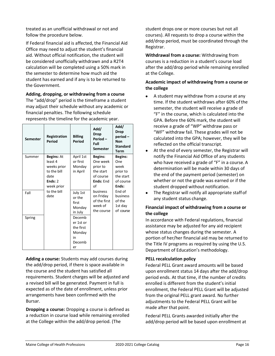treated as an unofficial withdrawal or not and follow the procedure below.

If Federal financial aid is affected, the Financial Aid Office may need to adjust the student's financial aid. Without official notification, the student will be considered unofficially withdrawn and a R2T4 calculation will be completed using a 50% mark in the semester to determine how much aid the student has earned and if any is to be returned to the Government.

**Adding, dropping, or withdrawing from a course**  The "add/drop" period is the timeframe a student may adjust their schedule without any academic or financial penalties. The following schedule represents the timeline for the academic year.

| <b>Semester</b> | Registration<br>Period | <b>Billing</b><br>Period                                         | Add/<br><b>Drop</b><br>Period-<br>Full<br><b>Semester</b>      | Add/<br><b>Drop</b><br>period-<br><b>Non</b><br><b>Standard</b><br>Term |
|-----------------|------------------------|------------------------------------------------------------------|----------------------------------------------------------------|-------------------------------------------------------------------------|
| Summer          | Begins: At             | April 1st                                                        | <b>Begins:</b>                                                 | <b>Begins:</b>                                                          |
|                 | least 4                | or first                                                         | One week                                                       | One                                                                     |
|                 | weeks prior            | Monday                                                           | prior to                                                       | week                                                                    |
|                 | to the bill            | in April                                                         | the start                                                      | prior to                                                                |
|                 | date                   |                                                                  | of course                                                      | the start                                                               |
|                 | Ends: 2                |                                                                  | Ends: End                                                      | of course                                                               |
|                 | week prior             |                                                                  | of                                                             | Ends:                                                                   |
| Fall            | to the bill<br>date    | July 1st<br>or the<br>first<br>Monday<br>in July                 | business<br>on Friday<br>of the first<br>week of<br>the course | End of<br>business<br>of the<br>1st day<br>of course                    |
| Spring          |                        | Decemb<br>er 1st or<br>the first<br>Monday<br>in<br>Decemb<br>er |                                                                |                                                                         |

**Adding a course:** Students may add courses during the add/drop period, if there is space available in the course and the student has satisfied all requirements. Student charges will be adjusted and a revised bill will be generated. Payment in full is expected as of the date of enrollment, unless prior arrangements have been confirmed with the Bursar.

**Dropping a course:** Dropping a course is defined as a reduction in course load while remaining enrolled at the College within the add/drop period. (The

student drops one or more courses but not all courses). All requests to drop a course within the add/drop period, must be coordinated through the Registrar.

**Withdrawal from a course:** Withdrawing from courses is a reduction in a student's course load after the add/drop period while remaining enrolled at the College.

# **Academic impact of withdrawing from a course or the college**

- A student may withdraw from a course at any time. If the student withdraws after 60% of the semester, the student will receive a grade of "F" in the course, which is calculated into the GPA. Before the 60% mark, the student will receive a grade of "WP" withdraw pass or "WF" withdraw fail. These grades will not be calculated into the GPA; however, they will be reflected on the official transcript.
- At the end of every semester, the Registrar will notify the Financial Aid Office of any students who have received a grade of "F" in a course. A determination will be made within 30 days of the end of the payment period (semester) on whether or not the grade was earned or if the student dropped without notification.
- The Registrar will notify all appropriate staff of any student status change.

# **Financial impact of withdrawing from a course or the college**

In accordance with Federal regulations, financial assistance may be adjusted for any aid recipient whose status changes during the semester. A portion of her/her financial aid may be returned to the Title IV programs as required by using the U.S. Department of Education's methodology.

# **PELL recalculation policy**

Federal PELL Grant award amounts will be based upon enrollment status 14 days after the add/drop period ends. At that time, if the number of credits enrolled is different from the student's initial enrollment, the Federal PELL Grant will be adjusted from the original PELL grant award. No further adjustments to the Federal PELL Grant will be made after that point.

Federal PELL Grants awarded initially after the add/drop period will be based upon enrollment at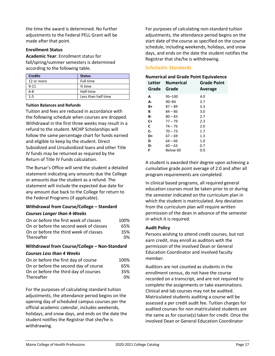the time the award is determined. No further adjustments to the Federal PELL Grant will be made after that point.

#### **Enrollment Status**

**Academic Year**: Enrollment status for fall/spring/summer semesters is determined according to the following table.

| <b>Credits</b> | <b>Status</b>       |
|----------------|---------------------|
| 12 or more     | Full-time           |
| $9 - 11$       | % time              |
| $6 - 8$        | Half-time           |
| $1 - 5$        | Less than half time |

#### **Tuition Balances and Refunds**

Tuition and fees are reduced in accordance with the following schedule when courses are dropped. Withdrawal in the first three weeks may result in a refund to the student. MCHP Scholarships will follow the same percentage chart for funds earned and eligible to keep by the student. Direct Subsidized and Unsubsidized loans and other Title IV funds may be returned as required by the Return of Title IV Funds calculation.

The Bursar's Office will send the student a detailed statement indicating any amounts due the College or amounts due the student as a refund. The statement will include the expected due date for any amount due back to the College for return to the Federal Programs (if applicable).

# **Withdrawal from Course/College – Standard** *Courses Longer than 4-Weeks*

| On or before the first week of classes  | 100% |
|-----------------------------------------|------|
| On or before the second week of classes | 65%  |
| On or before the third week of classes  | 35%  |
| Thereafter                              | 0%   |

# **Withdrawal from Course/College – Non-Standard** *Courses Less than 4 Weeks*

| On or before the first day of course  | 100% |
|---------------------------------------|------|
| On or before the second day of course | 65%  |
| On or before the third day of courses | 35%  |
| Thereafter                            | 0%   |

For the purposes of calculating standard tuition adjustments, the attendance period begins on the opening day of scheduled campus courses per the official academic calendar, includes weekends, holidays, and snow days, and ends on the date the student notifies the Registrar that she/he is withdrawing.

For purposes of calculating non-standard tuition adjustments, the attendance period begins on the start date of the course as specified on the course schedule, including weekends, holidays, and snow days, and ends on the date the student notifies the Registrar that she/he is withdrawing.

# <span id="page-20-0"></span>**Scholastic Standards**

## **Numerical and Grade Point Equivalence**

| Letter<br>Grade | <b>Numerical</b><br>Grade | <b>Grade Point</b><br>Average |
|-----------------|---------------------------|-------------------------------|
| A               | $95 - 100$                | 4.0                           |
| А-              | $90 - 94$                 | 3.7                           |
| B+              | $87 - 89$                 | 3.3                           |
| В               | $84 - 86$                 | 3.0                           |
| В-              | $80 - 83$                 | 2.7                           |
| C+              | $77 - 79$                 | 2.3                           |
| C               | $74 - 76$                 | 2.0                           |
| C-              | $70 - 73$                 | 1.7                           |
| D+              | 67 – 69                   | 1.3                           |
| D               | $64 - 66$                 | 1.0                           |
| D-              | $60 - 63$                 | 0.7                           |
| F               | Below 60                  | 0.0                           |

A student is awarded their degree upon achieving a cumulative grade point average of 2.0 and after all program requirements are completed.

In clinical based programs, all required general education courses must be taken prior to or during the semester indicated on the curriculum plan in which the student is matriculated. Any deviation from the curriculum plan will require written permission of the dean in advance of the semester in which it is required.

#### **Audit Policy**

Persons wishing to attend credit courses, but not earn credit, may enroll as auditors with the permission of the involved Dean or General Education Coordinator and involved faculty member.

Auditors are not counted as students in the enrollment census, do not have the course recorded on a transcript, and are not required to complete the assignments or take examinations. Clinical and lab courses may not be audited. Matriculated students auditing a course will be assessed a per credit audit fee. Tuition charges for audited courses for non-matriculated students are the same as for course(s) taken for credit. Once the involved Dean or General Education Coordinator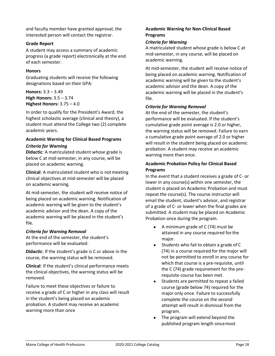and faculty member have granted approval, the interested person will contact the registrar.

# **Grade Report**

A student may access a summary of academic progress (a grade report) electronically at the end of each semester.

# **Honors**

Graduating students will receive the following designations based on their GPA:

**Honors:** 3.3 – 3.49 **High Honors:** 3.5 – 3.74 **Highest Honors:** 3.75 – 4.0

In order to qualify for the President's Award, the highest scholastic average (clinical and theory), a student must attend the College two (2) complete academic years.

# **Academic Warning for Clinical Based Programs** *Criteria for Warning*

**Didactic**: A matriculated student whose grade is below C at mid-semester, in any course, will be placed on academic warning.

**Clinical**: A matriculated student who is notmeeting clinical objectives at mid-semester will be placed on academic warning.

At mid-semester, the student will receive notice of being placed on academic warning. Notification of academic warning will be given to the student's academic advisor and the dean. A copy of the academic warning will be placed in the student's file.

# *Criteria for Warning Removal*

At the end of the semester, the student's performance will be evaluated:

**Didactic**: If the student's grade is C or above in the course, the warning status will be removed.

**Clinical**: If the student's clinical performance meets the clinical objectives, the warning status will be removed.

Failure to meet these objectives or failure to receive a grade of C or higher in any class will result in the student's being placed on academic probation. A student may receive an academic warning more than once

# **Academic Warning for Non-Clinical Based Programs**

# *Criteria for Warning*

A matriculated student whose grade is below C at mid-semester, in any course, will be placed on academic warning.

At mid-semester, the student will receive notice of being placed on academic warning. Notification of academic warning will be given to the student's academic advisor and the dean. A copy of the academic warning will be placed in the student's file.

# *Criteria for Warning Removal*

At the end of the semester, the student's performance will be evaluated. If the student's cumulative grade point average is 2.0 or higher, the warning status will be removed. Failure to earn a cumulative grade point average of 2.0 or higher will result in the student being placed on academic probation. A student may receive an academic warning more than once.

# **Academic Probation Policy for Clinical Based Programs**

In the event that a student receives a grade of C- or lower in any course(s) within one semester, the student is placed on Academic Probation and must repeat the course(s). The course instructor will email the student, student's advisor, and registrar of a grade of C- or lower when the final grades are submitted. A student may be placed on Academic Probation once during the program.

- A minimum grade of C (74) must be attained in any course required forthe major.
- Students who fail to obtain a grade of C (74) in a course required for the major will not be permitted to enroll in any course for which that course is a pre-requisite, until the C (74) grade requirement for the prerequisite course has been met.
- Students are permitted to repeat a failed course (grade below 74) required for the major only once. Failure to successfully complete the course on the second attempt will result in dismissal from the program.
- The program will extend beyond the published program length sincemost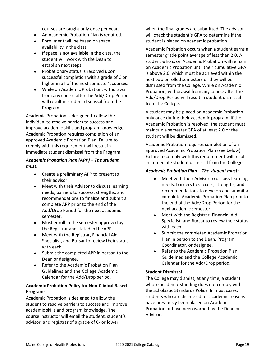courses are taught only once per year.

- An Academic Probation Plan isrequired.
- Enrollment will be based on space availability in the class.
- If space is not available in the class, the student will work with the Dean to establish next steps.
- Probationary status is resolved upon successful completion with a grade of C or higher in all of the next semester'scourses.
- While on Academic Probation, withdrawal from any course after the Add/Drop Period will result in student dismissal from the Program.

Academic Probation is designed to allow the individual to resolve barriers to success and improve academic skills and program knowledge. Academic Probation requires completion of an approved Academic Probation Plan. Failure to comply with this requirement will result in immediate student dismissal from the Program.

## *Academic Probation Plan (APP) – The student must:*

- Create a preliminary APP to present to their advisor.
- Meet with their Advisor to discuss learning needs, barriers to success, strengths, and recommendations to finalize and submit a complete APP prior to the end of the Add/Drop Period for the next academic semester.
- Must enroll in the semester approved by the Registrar and stated in theAPP.
- Meet with the Registrar, Financial Aid Specialist, and Bursar to review their status with each.
- Submit the completed APP in person to the Dean or designee.
- Refer to the Academic Probation Plan Guidelines and the College Academic Calendar for the Add/Drop period.

# **Academic Probation Policy for Non-Clinical Based Programs**

Academic Probation is designed to allow the student to resolve barriers to success and improve academic skills and program knowledge. The course instructor will email the student, student's advisor, and registrar of a grade of C- or lower

when the final grades are submitted. The advisor will check the student's GPA to determine if the student is placed on academic probation.

Academic Probation occurs when a student earns a semester grade point average of less than 2.0. A student who is on Academic Probation will remain on Academic Probation until their cumulative GPA is above 2.0, which must be achieved within the next two enrolled semesters or they will be dismissed from the College. While on Academic Probation, withdrawal from any course after the Add/Drop Period will result in student dismissal from the College.

A student may be placed on Academic Probation only once during their academic program. If the Academic Probation is resolved, the student must maintain a semester GPA of at least 2.0 or the student will be dismissed.

Academic Probation requires completion of an approved Academic Probation Plan (see below). Failure to comply with this requirement will result in immediate student dismissal from the College.

## *Academic Probation Plan – The student must:*

- Meet with their Advisor to discuss learning needs, barriers to success, strengths, and recommendations to develop and submit a complete Academic Probation Plan priorto the end of the Add/Drop Period for the next academic semester.
- Meet with the Registrar, Financial Aid Specialist, and Bursar to review their status with each.
- Submit the completed Academic Probation Plan in person to the Dean, Program Coordinator, or designee.
- Refer to the Academic Probation Plan Guidelines and the College Academic Calendar for the Add/Drop period.

# **Student Dismissal**

The College may dismiss, at any time, a student whose academic standing does not comply with the Scholastic Standards Policy. In most cases, students who are dismissed for academic reasons have previously been placed on Academic Probation or have been warned by the Dean or Advisor.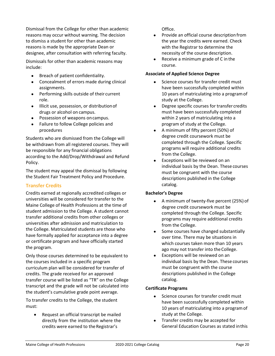Dismissal from the College for other than academic reasons may occur without warning. The decision to dismiss a student for other than academic reasons is made by the appropriate Dean or designee, after consultation with referring faculty.

Dismissals for other than academic reasons may include:

- Breach of patient confidentiality.
- Concealment of errors made during clinical assignments.
- Performing skills outside of their current role.
- $\bullet$  Illicit use, possession, or distribution of drugs or alcohol on campus.
- Possession of weapons on campus.
- Failure to follow College policies and procedures

Students who are dismissed from the College will be withdrawn from all registered courses. They will be responsible for any financial obligations according to the Add/Drop/Withdrawal and Refund Policy.

The student may appeal the dismissal by following the Student Fair Treatment Policy and Procedure.

# <span id="page-23-0"></span>**Transfer Credits**

Credits earned at regionally accredited colleges or universities will be considered for transfer to the Maine College of Health Professions at the time of student admission to the College. A student cannot transfer additional credits from other colleges or universities after admission and matriculation to the College. Matriculated students are those who have formally applied for acceptance into a degree or certificate program and have officially started the program.

Only those courses determined to be equivalent to the courses included in a specific program curriculum plan will be considered for transfer of credits. The grade received for an approved transfer course will be listed as "TR" on the College transcript and the grade will not be calculated into the student's cumulative grade point average.

To transfer credits to the College, the student must:

 Request an official transcript be mailed directly from the institution where the credits were earned to the Registrar's

Office.

- Provide an official course description from the year the credits were earned. Check with the Registrar to determine the necessity of the course description.
- Receive a minimum grade of C in the course.

## **Associate of Applied Science Degree**

- Science courses for transfer credit must have been successfully completed within 10 years of matriculating into a programof study at the College.
- Degree specific courses for transfer credits must have been successfully completed within 2 years of matriculating into a program of study at the College.
- A minimum of fifty percent (50%) of degree credit coursework must be completed through the College. Specific programs will require additional credits from the College.
- Exceptions will be reviewed on an individual basis by the Dean. These courses must be congruent with the course descriptions published in the College catalog.

# **Bachelor's Degree**

- A minimum of twenty-five percent (25%) of degree credit coursework must be completed through the College. Specific programs may require additional credits from the College.
- Some courses have changed substantially over time. There may be situations in which courses taken more than 10 years ago may not transfer into the College.
- Exceptions will be reviewed on an individual basis by the Dean. These courses must be congruent with the course descriptions published in the College catalog.

## **Certificate Programs**

- Science courses for transfer credit must have been successfully completed within 10 years of matriculating into a programof study at the College.
- Transfer credits may be accepted for General Education Courses as stated inthis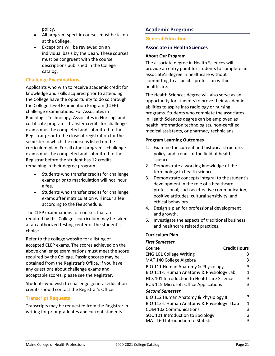policy.

- All program-specific courses must be taken at the College.
- Exceptions will be reviewed on an individual basis by the Dean. These courses must be congruent with the course descriptions published in the College catalog.

# <span id="page-24-0"></span>**Challenge Examinations**

Applicants who wish to receive academic credit for knowledge and skills acquired prior to attending the College have the opportunity to do so through the College Level Examination Program (CLEP) challenge examinations. For Associates in Radiologic Technology, Associates in Nursing, and certificate programs, transfer credits for challenge exams must be completed and submitted to the Registrar prior to the close of registration for the semester in which the course is listed on the curriculum plan. For all other programs, challenge exams must be completed and submitted to the Registrar before the student has 12 credits remaining in their degree program.

- Students who transfer credits for challenge exams prior to matriculation will not incur a fee.
- Students who transfer credits for challenge exams after matriculation will incur a fee according to the fee schedule.

The CLEP examinations for courses that are required by this College's curriculum may be taken at an authorized testing center of the student's choice.

Refer to the college website for a listing of accepted CLEP exams. The scores achieved on the above challenge examinations must meet the score required by the College. Passing scores may be obtained from the Registrar's Office. If you have any questions about challenge exams and acceptable scores, please see the Registrar.

Students who wish to challenge general education credits should contact the Registrar's Office.

# <span id="page-24-1"></span>**Transcript Requests**

Transcripts may be requested from the Registrar in writing for prior graduates and current students.

# <span id="page-24-3"></span><span id="page-24-2"></span>**Academic Programs**

# <span id="page-24-4"></span>**General Education**

## **Associate in HealthSciences**

#### **About Our Program**

The associate degree in Health Sciences will provide an entry point for students to complete an associate's degree in healthcare without committing to a specific profession within healthcare.

The Health Sciences degree will also serve as an opportunity for students to prove their academic abilities to aspire into radiology or nursing programs. Students who complete the associates in Health Sciences degree can be employed as health information technologists, non-certified medical assistants, or pharmacy technicians.

## **Program Learning Outcomes**

- 1. Examine the current and historical structure, policy, and trends of the field of health sciences.
- 2. Demonstrate a working knowledge of the terminology in health sciences.
- 3. Demonstrate concepts integral to the student's development in the role of a healthcare professional, such as effective communication, positive attitudes, cultural sensitivity, and ethical behaviors.
- 4. Design a plan for professional development and growth.
- 5. Investigate the aspects of traditional business and healthcare related practices.

## **Curriculum Plan**

#### *First Semester*

| <b>Credit Hours</b> |
|---------------------|
| 3                   |
| 3                   |
| З                   |
|                     |
| 3                   |
| 3                   |
|                     |
| 3                   |
| 1                   |
| 3                   |
| ੨                   |
| З                   |
|                     |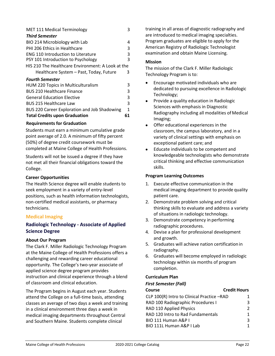| <b>MET 111 Medical Terminology</b>                |   |  |
|---------------------------------------------------|---|--|
| <b>Third Semester</b>                             |   |  |
| BIO 214 Microbiology with Lab                     | 4 |  |
| PHI 206 Ethics in Healthcare                      | 3 |  |
| <b>ENG 110 Introduction to Literature</b>         | 3 |  |
| PSY 101 Introduction to Psychology                | 3 |  |
| HIS 210 The Healthcare Environment: A Look at the |   |  |
| Healthcare System - Past, Today, Future           | 3 |  |
| <b>Fourth Semester</b>                            |   |  |
| HUM 220 Topics in Multiculturalism                | 3 |  |
| <b>BUS 210 Healthcare Finance</b>                 | 3 |  |
| <b>General Education Elective</b>                 | 3 |  |
| <b>BUS 215 Healthcare Law</b>                     | 3 |  |

BUS 220 Career Exploration and Job Shadowing 1 **Total Credits upon Graduation**

# **Requirements for Graduation**

Students must earn a minimum cumulative grade point average of 2.0. A minimum of fifty percent (50%) of degree credit coursework must be completed at Maine College of Health Professions.

Students will not be issued a degree if they have not met all their financial obligations toward the College.

## **Career Opportunities**

The Health Science degree will enable students to seek employment in a variety of entry-level positions, such as health information technologists, non-certified medical assistants, or pharmacy technicians.

# <span id="page-25-0"></span>**Medical Imaging**

# <span id="page-25-1"></span>**Radiologic Technology - Associate of Applied Science Degree**

## **About Our Program**

The Clark F. Miller Radiologic Technology Program at the Maine College of Health Professions offers a challenging and rewarding career educational opportunity. The College's two-year associate of applied science degree program provides instruction and clinical experience through a blend of classroom and clinical education.

The Program begins in August each year. Students attend the College on a full-time basis, attending classes an average of two days a week and training in a clinical environment three days a week in medical imaging departments throughout Central and Southern Maine. Students complete clinical

training in all areas of diagnostic radiography and are introduced to medical imaging specialties. Program graduates are eligible to apply for the American Registry of Radiologic Technologist examination and obtain Maine Licensing.

## **Mission**

**61**

The mission of the Clark F. Miller Radiologic Technology Program is to:

- Encourage motivated individuals who are dedicated to pursuing excellence in Radiologic Technology;
- Provide a quality education in Radiologic Sciences with emphasis in Diagnostic Radiography including all modalities of Medical Imaging;
- Offer educational experiences in the classroom, the campus laboratory, and in a variety of clinical settings with emphasis on exceptional patient care; and
- Educate individuals to be competent and knowledgeable technologists who demonstrate critical thinking and effective communication skills.

# **Program Learning Outcomes**

- 1. Execute effective communication in the medical imaging department to provide quality patient care.
- 2. Demonstrate problem solving and critical thinking skills to evaluate and address a variety of situations in radiologic technology.
- 3. Demonstrate competency in performing radiographic procedures.
- 4. Devise a plan for professional development and growth.
- 5. Graduates will achieve nation certification in radiography.
- 6. Graduates will become employed in radiologic technology within six months of program completion.

# **Curriculum Plan**

## *First Semester (Fall)*

| Course                                     | <b>Credit Hours</b> |
|--------------------------------------------|---------------------|
| CLP 100(R) Intro to Clinical Practice -RAD |                     |
| RAD 100 Radiographic Procedures I          | 3                   |
| RAD 110 Applied Physics                    |                     |
| RAD 120 Intro to Rad Fundamentals          |                     |
| BIO 111 Human A&P I                        | ર                   |
| BIO 111L Human A&P I Lab                   |                     |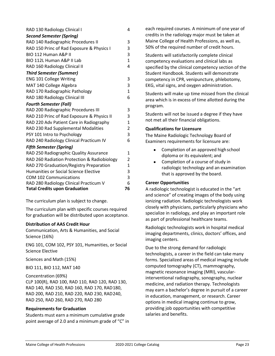| RAD 130 Radiology Clinical I                 | 4              |
|----------------------------------------------|----------------|
| <b>Second Semester (Spring)</b>              |                |
| RAD 140 Radiographic Procedures II           | 3              |
| RAD 150 Princ of Rad Exposure & Physics I    | 3              |
| BIO 112 Human A&P II                         | 3              |
| BIO 112L Human A&P II Lab                    | $\mathbf{1}$   |
| RAD 160 Radiology Clinical II                | 4              |
| <b>Third Semester (Summer)</b>               |                |
| <b>ENG 101 College Writing</b>               | 3              |
| MAT 140 College Algebra                      | 3              |
| RAD 170 Radiographic Pathology               | $\mathbf{1}$   |
| RAD 180 Radiology Clinical III               | 6              |
| <b>Fourth Semester (Fall)</b>                |                |
| RAD 200 Radiographic Procedures III          | 3              |
| RAD 210 Princ of Rad Exposure & Physics II   | 3              |
| RAD 220 Adv Patient Care in Radiography      | $\mathbf{1}$   |
| RAD 230 Rad Supplemental Modalities          | $\overline{2}$ |
| PSY 101 Intro to Psychology                  | 3              |
| RAD 240 Radiology Clinical Practicum IV      | 6              |
| <b>Fifth Semester (Spring)</b>               |                |
| RAD 250 Radiographic Quality Assurance       | 1              |
| RAD 260 Radiation Protection & Radiobiology  | 2              |
| RAD 270 Graduation/Registry Preparation      | $\mathbf{1}$   |
| <b>Humanities or Social Science Elective</b> | 3              |
| <b>COM 102 Communications</b>                | 3              |
| RAD 280 Radiology Clinical Practicum V       | 6              |
| <b>Total Credits upon Graduation</b>         | 76             |

The curriculum plan is subject to change.

The curriculum plan with specific courses required for graduation will be distributed upon acceptance.

## **Distribution of AAS Credit Hour**

Communication, Arts & Humanities, and Social Science (16%)

ENG 101, COM 102, PSY 101, Humanities, or Social Science Elective

Sciences and Math (15%)

BIO 111, BIO 112, MAT 140

Concentration (69%) CLP 100(R), RAD 100, RAD 110, RAD 120, RAD 130, RAD 140, RAD 150, RAD 160, RAD 170, RAD180, RAD 200, RAD 210, RAD 220, RAD 230, RAD240, RAD 250, RAD 260, RAD 270, RAD 280

# **Requirements for Graduation**

Students must earn a minimum cumulative grade point average of 2.0 and a minimum grade of "C" in

each required courses. A minimum of one year of credits in the radiology major must be taken at Maine College of Health Professions, as well as, 50% of the required number of credit hours.

Students will satisfactorily complete clinical competency evaluations and clinical labs as specified by the clinical competency section of the Student Handbook. Students will demonstrate competency in CPR, venipuncture, phlebotomy, EKG, vital signs, and oxygen administration.

Students will make up time missed from the clinical area which is in excess of time allotted during the program.

Students will not be issued a degree if they have not met all their financial obligations.

# **Qualifications for Licensure**

The Maine Radiologic Technology Board of Examiners requirements for licensure are:

- Completion of an approved high school diploma or its equivalent; and
- Completion of a course of study in radiologic technology and an examination that is approved by the board.

# **Career Opportunities**

A radiologic technologist is educated in the "art and science" of creating images of the body using ionizing radiation. Radiologic technologists work closely with physicians, particularly physicians who specialize in radiology, and play an important role as part of professional healthcare teams.

Radiologic technologists work in hospital medical imaging departments, clinics, doctors' offices, and imaging centers.

Due to the strong demand for radiologic technologists, a career in the field can take many forms. Specialized areas of medical imaging include computed tomography (CT), mammography, magnetic resonance imaging (MRI), vascularinterventional radiography, sonography, nuclear medicine, and radiation therapy. Technologists may earn a bachelor's degree in pursuit of a career in education, management, or research. Career options in medical imaging continue to grow, providing job opportunities with competitive salaries and benefits.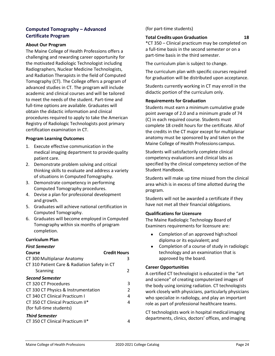# <span id="page-27-0"></span>**Computed Tomography – Advanced Certificate Program**

#### **About Our Program**

The Maine College of Health Professions offers a challenging and rewarding career opportunity for the motivated Radiologic Technologist including Radiographers, Nuclear Medicine Technologists, and Radiation Therapists in the field of Computed Tomography (CT). The College offers a program of advanced studies in CT. The program will include academic and clinical courses and will be tailored to meet the needs of the student. Part-time and full-time options are available. Graduates will obtain the didactic information and clinical procedures required to apply to take the American Registry of Radiologic Technologists post primary certification examination in CT.

#### **Program Learning Outcomes**

- 1. Execute effective communication in the medical imaging department to provide quality patient care.
- 2. Demonstrate problem solving and critical thinking skills to evaluate and address a variety of situations in Computed Tomography.
- 3. Demonstrate competency in performing Computed Tomography procedures.
- 4. Devise a plan for professional development and growth.
- 5. Graduates will achieve national certification in Computed Tomography.
- 6. Graduates will become employed in Computed Tomography within six months of program completion.

## **Curriculum Plan**

#### *First Semester*

| Course                                       | <b>Credit Hours</b> |
|----------------------------------------------|---------------------|
| CT 300 Multiplanar Anatomy                   | 3                   |
| CT 310 Patient Care & Radiation Safety in CT |                     |
| Scanning                                     | 2                   |
| <b>Second Semester</b>                       |                     |
| CT 320 CT Procedures                         | 3                   |
| CT 330 CT Physics & Instrumentation          | 2                   |
| CT 340 CT Clinical Practicum I               | 4                   |
| CT 350 CT Clinical Practicum II*             | 4                   |
| (for full-time students)                     |                     |
| <b>Third Semester</b>                        |                     |
| CT 350 CT Clinical Practicum II*             |                     |

# (for part-time students)

#### **Total Credits upon Graduation 18**

\*CT 350 – Clinical practicum may be completed on a full-time basis in the second semester or on a part-time basis in the third semester.

The curriculum plan is subject to change.

The curriculum plan with specific courses required for graduation will be distributed upon acceptance.

Students currently working in CT may enroll in the didactic portion of the curriculum only.

#### **Requirements for Graduation**

Students must earn a minimum cumulative grade point average of 2.0 and a minimum grade of 74 (C) in each required course. Students must complete 18 credit hours for the certificate. Allof the credits in the CT major except for multiplanar anatomy must be sponsored by and taken on the Maine College of Health Professions campus.

Students will satisfactorily complete clinical competency evaluations and clinical labs as specified by the clinical competency section of the Student Handbook.

Students will make up time missed from the clinical area which is in excess of time allotted during the program.

Students will not be awarded a certificate if they have not met all their financial obligations.

## **Qualifications for Licensure**

The Maine Radiologic Technology Board of Examiners requirements for licensure are:

- Completion of an approved high school diploma or its equivalent; and
- Completion of a course of study in radiologic technology and an examination that is approved by the board.

## **Career Opportunities**

A certified CT technologist is educated in the "art and science" of creating computerized images of the body using ionizing radiation. CT technologists work closely with physicians, particularly physicians who specialize in radiology, and play an important role as part of professional healthcare teams.

CT technologists work in hospital medical imaging departments, clinics, doctors' offices, andimaging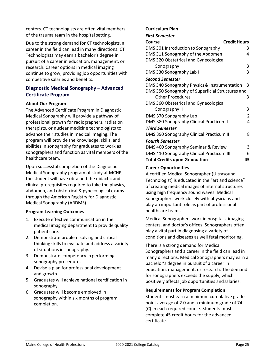centers. CT technologists are often vital members of the trauma team in the hospital setting.

Due to the strong demand for CT technologists, a career in the field can lead in many directions. CT Technologists may earn a bachelor's degree in pursuit of a career in education, management, or research. Career options in medical imaging continue to grow, providing job opportunities with competitive salaries and benefits.

# <span id="page-28-0"></span>**Diagnostic Medical Sonography – Advanced Certificate Program**

## **About Our Program**

The Advanced Certificate Program in Diagnostic Medical Sonography will provide a pathway of professional growth for radiographers, radiation therapists, or nuclear medicine technologists to advance their studies in medical imaging. The program will provide the knowledge, skills, and abilities in sonography for graduates to work as sonographers and function as vital members of the healthcare team.

Upon successful completion of the Diagnostic Medical Sonography program of study at MCHP, the student will have obtained the didactic and clinical prerequisites required to take the physics, abdomen, and obstetrical & gynecological exams through the American Registry for Diagnostic Medical Sonography (ARDMS).

## **Program Learning Outcomes**

- 1. Execute effective communication in the medical imaging department to provide quality patient care.
- 2. Demonstrate problem solving and critical thinking skills to evaluate and address a variety of situations in sonography.
- 3. Demonstrate competency in performing sonography procedures.
- 4. Devise a plan for professional development and growth.
- 5. Graduates will achieve national certification in sonography.
- 6. Graduates will become employed in sonography within six months of program completion.

#### **Curriculum Plan**

*First Semester*

| , ,, ,, ,, ,,,, ,,,,,                            |                |
|--------------------------------------------------|----------------|
| Credit Hours<br>Course                           |                |
| DMS 301 Introduction to Sonography               | 3              |
| DMS 311 Sonography of the Abdomen                |                |
| DMS 320 Obstetrical and Gynecological            |                |
| Sonography I                                     | 3              |
| DMS 330 Sonography Lab I                         | 3              |
| <b>Second Semester</b>                           |                |
| DMS 340 Sonography Physics & Instrumentation     | -3             |
| DMS 350 Sonography of Superficial Structures and |                |
| <b>Other Procedures</b>                          | 3              |
| DMS 360 Obstetrical and Gynecological            |                |
| Sonography II                                    | 3              |
| DMS 370 Sonography Lab II                        | $\overline{2}$ |
| DMS 380 Sonography Clinical Practicum I          | 4              |
| <b>Third Semester</b>                            |                |
| <b>DMS 390 Sonography Clinical Practicum II</b>  | 8              |
| <b>Fourth Semester</b>                           |                |
| DMS 400 Sonography Seminar & Review              | 3              |
| DMS 410 Sonography Clinical Practicum III        | 6              |
| <b>Total Credits upon Graduation</b>             | 45             |

## **Career Opportunities**

A certified Medical Sonographer (Ultrasound Technologist) is educated in the "art and science" of creating medical images of internal structures using high frequency sound waves. Medical Sonographers work closely with physicians and play an important role as part of professional healthcare teams.

Medical Sonographers work in hospitals, imaging centers, and doctor's offices. Sonographers often play a vital part in diagnosing a variety of conditions and diseases as well fetal monitoring.

There is a strong demand for Medical Sonographers and a career in the field can lead in many directions. Medical Sonographers may earn a bachelor's degree in pursuit of a career in education, management, or research. The demand for sonographers exceeds the supply, which positively affects job opportunities andsalaries.

## **Requirements for Program Completion**

Students must earn a minimum cumulative grade point average of 2.0 and a minimum grade of 74 (C) in each required course. Students must complete 45 credit hours for the advanced certificate.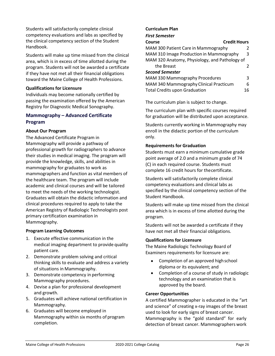Students will satisfactorily complete clinical competency evaluations and labs as specified by the clinical competency section of the Student Handbook.

Students will make up time missed from the clinical area, which is in excess of time allotted during the program. Students will not be awarded a certificate if they have not met all their financial obligations toward the Maine College of Health Professions.

## **Qualifications for Licensure**

Individuals may become nationally certified by passing the examination offered by the American Registry for Diagnostic Medical Sonography.

# **Mammography – Advanced Certificate Program**

## **About Our Program**

The Advanced Certificate Program in Mammography will provide a pathway of professional growth for radiographers to advance their studies in medical imaging. The program will provide the knowledge, skills, and abilities in mammography for graduates to work as mammographers and function as vital members of the healthcare team. The program will include academic and clinical courses and will be tailored to meet the needs of the working technologist. Graduates will obtain the didactic information and clinical procedures required to apply to take the American Registry of Radiologic Technologists post primary certification examination in Mammography.

## **Program Learning Outcomes**

- 1. Execute effective communication in the medical imaging department to provide quality patient care.
- 2. Demonstrate problem solving and critical thinking skills to evaluate and address a variety of situations in Mammography.
- 3. Demonstrate competency in performing Mammography procedures.
- 4. Devise a plan for professional development and growth.
- 5. Graduates will achieve national certification in Mammography.
- 6. Graduates will become employed in Mammography within six months of program completion.

## **Curriculum Plan**

*First Semester*

| <b>Credit Hours</b><br>Course                 |    |
|-----------------------------------------------|----|
| MAM 300 Patient Care in Mammography           | 2  |
| MAM 310 Image Production in Mammography<br>3  |    |
| MAM 320 Anatomy, Physiology, and Pathology of |    |
| the Breast                                    | 2  |
| <b>Second Semester</b>                        |    |
| MAM 330 Mammography Procedures                | 3  |
| MAM 340 Mammography Clinical Practicum        | 6  |
| <b>Total Credits upon Graduation</b>          | 16 |

<span id="page-29-0"></span>The curriculum plan is subject to change.

The curriculum plan with specific courses required for graduation will be distributed upon acceptance.

Students currently working in Mammography may enroll in the didactic portion of the curriculum only.

## **Requirements for Graduation**

Students must earn a minimum cumulative grade point average of 2.0 and a minimum grade of 74 (C) in each required course. Students must complete 16 credit hours for thecertificate.

Students will satisfactorily complete clinical competency evaluations and clinical labs as specified by the clinical competency section of the Student Handbook.

Students will make up time missed from the clinical area which is in excess of time allotted during the program.

Students will not be awarded a certificate if they have not met all their financial obligations.

## **Qualifications for Licensure**

The Maine Radiologic Technology Board of Examiners requirements for licensure are:

- Completion of an approved high school diploma or its equivalent; and
- Completion of a course of study in radiologic technology and an examination that is approved by the board.

## **Career Opportunities**

A certified Mammographer is educated in the "art and science" of creating x-ray images of the breast used to look for early signs of breast cancer. Mammography is the "gold standard" for early detection of breast cancer. Mammographers work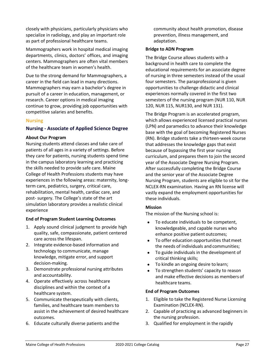closely with physicians, particularly physicians who specialize in radiology, and play an important role as part of professional healthcare teams.

Mammographers work in hospital medical imaging departments, clinics, doctors' offices, and imaging centers. Mammographers are often vital members of the healthcare team in women's health.

Due to the strong demand for Mammographers, a career in the field can lead in many directions. Mammographers may earn a bachelor's degree in pursuit of a career in education, management, or research. Career options in medical imaging continue to grow, providing job opportunities with competitive salaries and benefits.

## <span id="page-30-0"></span>**Nursing**

## <span id="page-30-1"></span>**Nursing - Associate of Applied Science Degree**

#### **About Our Program**

Nursing students attend classes and take care of patients of all ages in a variety of settings. Before they care for patients, nursing students spend time in the campus laboratory learning and practicing the skills needed to provide safe care. Maine College of Health Professions students may have experiences in the following areas: maternity, longterm care, pediatrics, surgery, critical care, rehabilitation, mental health, cardiac care, and post- surgery. The College's state of the art simulation laboratory provides a realistic clinical experience

## **End of Program Student Learning Outcomes**

- 1. Apply sound clinical judgment to provide high quality, safe, compassionate, patient centered care across the lifespan.
- 2. Integrate evidence-based information and technology to communicate, manage knowledge, mitigate error, and support decision-making.
- 3. Demonstrate professional nursing attributes and accountability.
- 4. Operate effectively across healthcare disciplines and within the context of a healthcare system.
- 5. Communicate therapeutically with clients, families, and healthcare team members to assist in the achievement of desired healthcare outcomes.
- 6. Educate culturally diverse patients and the

community about health promotion, disease prevention, illness management, and adaptation.

#### **Bridge to ADN Program**

The Bridge Course allows students with a background in health care to complete the educational requirements for an associate degree of nursing in three semesters instead of the usual four semesters. The paraprofessional is given opportunities to challenge didactic and clinical experiences normally covered in the first two semesters of the nursing program (NUR 110, NUR 120, NUR 115, NUR130, and NUR 131).

The Bridge Program is an accelerated program, which allows experienced licensed practical nurses (LPN) and paramedics to advance their knowledge base with the goal of becoming Registered Nurses (RN). Bridge students take a thirteen-week course that addresses the knowledge gaps that exist because of bypassing the first year nursing curriculum, and prepares them to join the second year of the Associate Degree Nursing Program. After successfully completing the Bridge Course and the senior year of the Associate Degree Nursing Program, students are eligible to sit for the NCLEX-RN examination. Having an RN license will vastly expand the employment opportunities for these individuals.

## **Mission**

The mission of the Nursing school is:

- To educate individuals to be competent, knowledgeable, and capable nurses who enhance positive patient outcomes;
- To offer education opportunities thatmeet the needs of individuals and communities;
- To guide individuals in the development of critical thinking skills;
- To kindle an ongoing desire to learn;
- To strengthen students' capacity to reason and make effective decisions as members of healthcare teams.

#### **End of Program Outcomes**

- 1. Eligible to take the Registered Nurse Licensing Examination (NCLEX-RN).
- 2. Capable of practicing as advanced beginners in the nursing profession.
- 3. Qualified for employment in the rapidly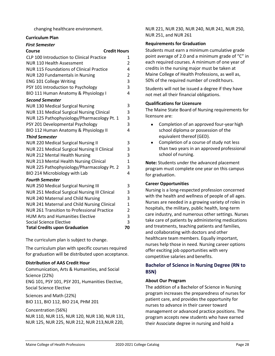changing healthcare environment.

## **Curriculum Plan**

| <b>First Semester</b>                                |              |  |
|------------------------------------------------------|--------------|--|
| <b>Credit Hours</b><br>Course                        |              |  |
| CLP 100 Introduction to Clinical Practice            | 1            |  |
| <b>NUR 110 Health Assessment</b>                     |              |  |
| <b>NUR 115 Foundations of Clinical Practice</b>      |              |  |
| <b>NUR 120 Fundamentals in Nursing</b>               |              |  |
| <b>ENG 101 College Writing</b>                       |              |  |
| PSY 101 Introduction to Psychology                   |              |  |
| BIO 111 Human Anatomy & Physiology I                 | 4            |  |
| <b>Second Semester</b>                               |              |  |
| <b>NUR 130 Medical Surgical Nursing</b>              | 3            |  |
| <b>NUR 131 Medical Surgical Nursing Clinical</b>     | 3            |  |
| NUR 125 Pathophysiology/Pharmacology Pt. 1           | 3            |  |
| PSY 201 Developmental Psychology                     | 3            |  |
| BIO 112 Human Anatomy & Physiology II                | 4            |  |
| <b>Third Semester</b>                                |              |  |
| <b>NUR 220 Medical Surgical Nursing II</b>           | 3            |  |
| NUR 221 Medical Surgical Nursing II Clinical         | 3            |  |
| <b>NUR 212 Mental Health Nursing</b>                 | 3            |  |
| <b>NUR 213 Mental Health Nursing Clinical</b>        | $\mathbf{1}$ |  |
| NUR 225 Pathophysiology/Pharmacology Pt. 2           | 3            |  |
| BIO 214 Microbiology with Lab                        | 4            |  |
| <b>Fourth Semester</b>                               |              |  |
| <b>NUR 250 Medical Surgical Nursing III</b>          | 3            |  |
| <b>NUR 251 Medical Surgical Nursing III Clinical</b> | 3            |  |
| <b>NUR 240 Maternal and Child Nursing</b>            | 3            |  |
| NUR 241 Maternal and Child Nursing Clinical          | $\mathbf{1}$ |  |
| <b>NUR 261 Transition to Professional Practice</b>   | 2            |  |
| <b>HUM Arts and Humanities Elective</b>              | 3            |  |
| <b>Social Science Elective</b>                       | 3            |  |
| <b>Total Credits upon Graduation</b>                 | 70           |  |

The curriculum plan is subject to change.

The curriculum plan with specific courses required for graduation will be distributed upon acceptance.

## **Distribution of AAS Credit Hour**

Communication, Arts & Humanities, and Social Science (22%) ENG 101, PSY 101, PSY 201, Humanities Elective, Social Science Elective

Sciences and Math (22%) BIO 111, BIO 112, BIO 214, PHM 201

Concentration (56%) NUR 110, NUR 115, NUR 120, NUR 130, NUR 131, NUR 125, NUR 225, NUR 212, NUR 213,NUR 220,

NUR 221, NUR 230, NUR 240, NUR 241, NUR 250, NUR 251, and NUR 261

# **Requirements for Graduation**

Students must earn a minimum cumulative grade point average of 2.0 and a minimum grade of "C" in each required courses. A minimum of one year of credits in the nursing major must be taken at Maine College of Health Professions, as well as, 50% of the required number of credithours.

Students will not be issued a degree if they have not met all their financial obligations.

## **Qualifications for Licensure**

The Maine State Board of Nursing requirements for licensure are:

- Completion of an approved four-year high school diploma or possession of the equivalent thereof (GED).
- Completion of a course of study not less than two years in an approved professional school of nursing.

**Note:** Students under the advanced placement program must complete one year on this campus for graduation.

## **Career Opportunities**

Nursing is a long-respected profession concerned with the health and wellness of people of all ages. Nurses are needed in a growing variety of roles in hospitals, the military, public health, long-term care industry, and numerous other settings. Nurses take care of patients by administering medications and treatments, teaching patients and families, and collaborating with doctors and other healthcare team members. Equally important, nurses help those in need. Nursing career options offer exciting job opportunities with very competitive salaries and benefits.

# <span id="page-31-0"></span>**Bachelor of Science in Nursing Degree (RN to BSN)**

# **About Our Program**

The addition of a Bachelor of Science in Nursing program increases the preparedness of nurses for patient care, and provides the opportunity for nurses to advance in their career toward management or advanced practice positions. The program accepts new students who have earned their Associate degree in nursing and hold a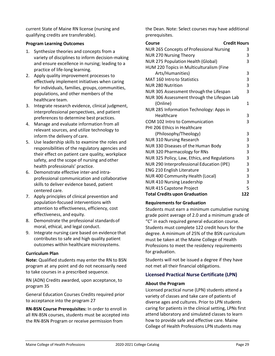current State of Maine RN license (nursing and qualifying credits are transferable).

# **Program Learning Outcomes**

- 1. Synthesize theories and concepts from a variety of disciplines to inform decision-making and ensure excellence in nursing; leading to a practice of life-long learning.
- 2. Apply quality improvement processes to effectively implement initiatives when caring for individuals, families, groups, communities, populations, and other members of the healthcare team.
- 3. Integrate research evidence, clinical judgment, interprofessional perspectives, and patient preferences to determine best practices.
- 4. Manage and evaluate information from all relevant sources, and utilize technology to inform the delivery of care.
- 5. Use leadership skills to examine the roles and responsibilities of the regulatory agencies and their effect on patient care quality, workplace safety, and the scope of nursing and other health professionals' practice.
- 6. Demonstrate effective inter-and intraprofessional communication and collaborative skills to deliver evidence based, patient centered care.
- 7. Apply principles of clinical prevention and population-focused interventions with attention to effectiveness, efficiency, cost effectiveness, and equity.
- 8. Demonstrate the professional standardsof moral, ethical, and legal conduct.
- 9. Integrate nursing care based on evidence that contributes to safe and high quality patient outcomes within healthcare microsystems.

# **Curriculum Plan**

**Note:** Qualified students may enter the RN to BSN program at any point and do not necessarily need to take courses in a prescribed sequence.

RN (ADN) Credits awarded, upon acceptance, to program 35

General Education Courses Credits required prior to acceptance into the program 27

**RN-BSN Course Prerequisites:** In order to enroll in all RN-BSN courses, students must be accepted into the RN-BSN Program or receive permission from

the Dean. Note: Select courses may have additional prerequisites.

| <b>Credit Hours</b><br><b>Course</b>            |     |
|-------------------------------------------------|-----|
| <b>NUR 265 Concepts of Professional Nursing</b> |     |
| <b>NUR 270 Nursing Theory</b>                   |     |
| <b>NUR 275 Population Health (Global)</b>       |     |
| HUM 220 Topics in Multiculturalism (Fine        |     |
| Arts/Humanities)                                | 3   |
| <b>MAT 160 Intro to Statistics</b>              | 3   |
| <b>NUR 280 Nutrition</b>                        | 3   |
| NUR 305 Assessment through the Lifespan         | 3   |
| NUR 306 Assessment through the Lifespan Lab     |     |
| (Online)                                        | 1   |
| NUR 285 Information Technology: Apps in         |     |
| Healthcare                                      | 3   |
| COM 102 Intro to Communication                  | 3   |
| PHI 206 Ethics in Healthcare                    |     |
| (Philosophy/Theology)                           | 3   |
| <b>NUR 310 Nursing Research</b>                 | 3   |
| NUR 330 Diseases of the Human Body              | 3   |
| NUR 320 Pharmacology for RNs                    | 3   |
| NUR 325 Policy, Law, Ethics, and Regulations    | 3   |
| NUR 290 Interprofessional Education (IPE)       | 3   |
| <b>ENG 210 English Literature</b>               | 3   |
| NUR 400 Community Health (Local)                | 3   |
| <b>NUR 410 Nursing Leadership</b>               | 3   |
| NUR 415 Capstone Project                        | 5   |
| <b>Total Credits upon Graduation</b>            | 122 |

# **Requirements for Graduation**

Students must earn a minimum cumulative nursing grade point average of 2.0 and a minimum grade of "C" in each required general education course. Students must complete 122 credit hours for the degree. A minimum of 25% of the BSN curriculum must be taken at the Maine College of Health Professions to meet the residency requirements for graduation.

Students will not be issued a degree if they have not met all their financial obligations.

# <span id="page-32-0"></span>**Licensed Practical Nurse Certificate (LPN)**

## **About the Program**

Licensed practical nurse (LPN) students attend a variety of classes and take care of patients of diverse ages and cultures. Prior to LPN students caring for patients in the clinical setting, LPNs first attend laboratory and simulated classes to learn how to provide safe and effective care. Maine College of Health Professions LPN students may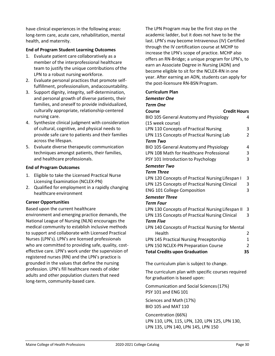have clinical experiences in the following areas: long-term care, acute care, rehabilitation, mental health, and maternity.

## **End of Program Student Learning Outcomes**

- 1. Evaluate patient care collaboratively as a member of the interprofessional healthcare team to justify the unique contributions ofthe LPN to a robust nursing workforce.
- 2. Evaluate personal practices that promote selffulfillment, professionalism, andaccountability.
- 3. Support dignity, integrity, self-determination, and personal growth of diverse patients, their families, and oneself to provide individualized, culturally appropriate, relationship-centered nursing care.
- 4. Synthesize clinical judgment with consideration of cultural, cognitive, and physical needs to provide safe care to patients and their families across the lifespan.
- 5. Evaluate diverse therapeutic communication techniques amongst patients, their families, and healthcare professionals.

## **End of Program Outcomes**

- 1. Eligible to take the Licensed Practical Nurse Licensing Examination (NCLEX-PN)
- 2. Qualified for employment in a rapidly changing healthcare environment

## **Career Opportunities**

Based upon the current healthcare environment and emerging practice demands, the National League of Nursing (NLN) encourages the medical community to establish inclusive methods to support and collaborate with Licensed Practical Nurses (LPN's). LPN's are licensed professionals who are committed to providing safe, quality, costeffective care. LPN's work under the supervision of registered nurses (RN) and the LPN's practice is grounded in the values that define the nursing profession. LPN's fill healthcare needs of older adults and other population clusters that need long-term, community-based care.

The LPN Program may be the first step on the academic ladder, but it does not have to be the last. LPN's may become Intravenous (IV) Certified through the IV certification course at MCHP to increase the LPN's scope of practice. MCHP also offers an RN-Bridge; a unique program for LPN's, to earn an Associate Degree in Nursing (ADN) and become eligible to sit for the NCLEX-RN in one year. After earning an ADN, students can apply for the post-licensure RN-BSN Program.

#### **Curriculum Plan**

#### *Semester One*

#### *Term One*

| <b>Credit Hours</b><br>Course                     |              |
|---------------------------------------------------|--------------|
| BIO 105 General Anatomy and Physiology            | 4            |
| (15 week course)                                  |              |
| LPN 110 Concepts of Practical Nursing             | 3            |
| LPN 115 Concepts of Practical Nursing Lab         | 2            |
| <b>Term Two</b>                                   |              |
| BIO 105 General Anatomy and Physiology            | 4            |
| LPN 108 Math for Healthcare Professional          | 3            |
| PSY 101 Introduction to Psychology                | 3            |
| <b>Semester Two</b>                               |              |
| <b>Term Three</b>                                 |              |
| LPN 120 Concepts of Practical Nursing Lifespan I  | 3            |
| LPN 125 Concepts of Practical Nursing Clinical    | 3            |
| <b>ENG 101 College Composition</b>                | 3            |
| <b>Semester Three</b>                             |              |
| <b>Term Four</b>                                  |              |
| LPN 130 Concepts of Practical Nursing Lifespan II | 3            |
| LPN 135 Concepts of Practical Nursing Clinical    | 3            |
| <b>Term Five</b>                                  |              |
| LPN 140 Concepts of Practical Nursing for Mental  |              |
| Health                                            | 2            |
| LPN 145 Practical Nursing Preceptorship           | $\mathbf{1}$ |
| LPN 150 NCLEX-PN Preparation Course               | 2            |
| <b>Total Credits upon Graduation</b>              | 35           |
|                                                   |              |

The curriculum plan is subject to change.

The curriculum plan with specific courses required for graduation is based upon:

Communication and Social Sciences(17%) PSY 101 and ENG101

Sciences and Math (17%) BIO 105 and MAT 110

Concentration (66%) LPN 110, LPN, 115, LPN, 120, LPN 125, LPN 130, LPN 135, LPN 140, LPN 145, LPN 150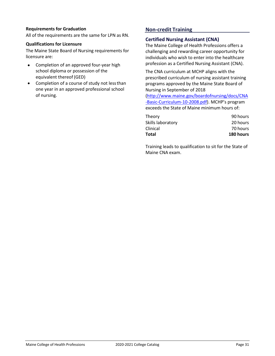## **Requirements for Graduation**

All of the requirements are the same for LPN as RN.

## **Qualifications for Licensure**

The Maine State Board of Nursing requirements for licensure are:

- Completion of an approved four-year high school diploma or possession of the equivalent thereof (GED)
- Completion of a course of study not less than one year in an approved professional school of nursing.

# <span id="page-34-0"></span>**Non-credit Training**

# <span id="page-34-1"></span>**Certified Nursing Assistant (CNA)**

The Maine College of Health Professions offers a challenging and rewarding career opportunity for individuals who wish to enter into the healthcare profession as a Certified Nursing Assistant (CNA).

The CNA curriculum at MCHP aligns with the prescribed curriculum of nursing assistant training programs approved by the Maine State Board of Nursing in September of 2018

[\(http://www.maine.gov/boardofnursing/docs/CNA](http://www.maine.gov/boardofnursing/docs/CNA-Basic-Curriculum-10-2008.pdf) [-Basic-Curriculum-10-2008.pdf](http://www.maine.gov/boardofnursing/docs/CNA-Basic-Curriculum-10-2008.pdf)). MCHP's program exceeds the State of Maine minimum hours of:

| Total             | 180 hours |
|-------------------|-----------|
| Clinical          | 70 hours  |
| Skills laboratory | 20 hours  |
| Theory            | 90 hours  |

Training leads to qualification to sit for the State of Maine CNA exam.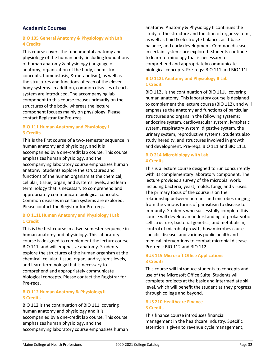# <span id="page-35-0"></span>**Academic Courses**

# **BIO 105 General Anatomy & Physiology with Lab 4 Credits**

This course covers the fundamental anatomy and physiology of the human body, includingfoundations of human anatomy & physiology (language of anatomy, organization of the body, chemistry concepts, homeostasis, & metabolism), as well as the structures and functions of each of the eleven body systems. In addition, common diseases of each system are introduced. The accompanying lab component to this course focuses primarily on the structures of the body, whereas the lecture component focuses mainly on physiology. Please contact Registrar for Pre-reqs.

## **BIO 111 Human Anatomy and Physiology I 3 Credits**

This is the first course of a two-semester sequence in human anatomy and physiology, and it is accompanied by a one-credit lab course. This course emphasizes human physiology, and the accompanying laboratory course emphasizes human anatomy. Students explore the structures and functions of the human organism at the chemical, cellular, tissue, organ, and systems levels, and learn terminology that is necessary to comprehend and appropriately communicate biological concepts. Common diseases in certain systems are explored. Please contact the Registrar for Pre-reqs.

## **BIO 111L Human Anatomy and Physiology I Lab 1 Credit**

This is the first course in a two-semester sequence in human anatomy and physiology. This laboratory course is designed to complement the lecture course BIO 111, and will emphasize anatomy. Students explore the structures of the human organism at the chemical, cellular, tissue, organ, and systems levels, and learn terminology that is necessary to comprehend and appropriately communicate biological concepts. Please contact the Registrar for Pre-reqs.

# **BIO 112 Human Anatomy & Physiology II 3 Credits**

BIO 112 is the continuation of BIO 111, covering human anatomy and physiology and it is accompanied by a one-credit lab course. This course emphasizes human physiology, and the accompanying laboratory course emphasizes human anatomy. Anatomy & Physiology II continues the study of the structure and function of organ systems, as well as fluid & electrolyte balance, acid-base balance, and early development. Common diseases in certain systems are explored. Students continue to learn terminology that is necessary to comprehend and appropriately communicate biological concepts. Pre-reqs: BIO 111 and BIO111L

# **BIO 112L Anatomy and Physiology II Lab 1 Credit**

BIO 112L is the continuation of BIO 111L, covering human anatomy. This laboratory course is designed to complement the lecture course (BIO 112), and will emphasize the anatomy and functions of particular structures and organs in the following systems: endocrine system, cardiovascular system, lymphatic system, respiratory system, digestive system, the urinary system, reproductive systems. Students also study heredity, and structures involved in growth and development. Pre-reqs: BIO 111 and BIO 111L

## **BIO 214 Microbiology with Lab 4 Credits**

This is a lecture course designed to run concurrently with its complementary laboratory component. The lecture provides a survey of the microbial world including bacteria, yeast, molds, fungi, and viruses. The primary focus of the course is on the relationship between humans and microbes ranging from the various forms of parasitism to disease to immunity. Students who successfully complete this course will develop an understanding of prokaryotic cell structure, bacterial genetics, and metabolism, control of microbial growth, how microbes cause specific disease, and various public health and medical interventions to combat microbial disease. Pre-reqs: BIO 112 and BIO 112L.

## **BUS 115 Microsoft Office Applications 3 Credits**

This course will introduce students to concepts and use of the Microsoft Office Suite. Students will complete projects at the basic and intermediate skill level, which will benefit the student as they progress through college and beyond.

## **BUS 210 Healthcare Finance 3 Credits**

This finance course introduces financial management in the healthcare industry. Specific attention is given to revenue cycle management,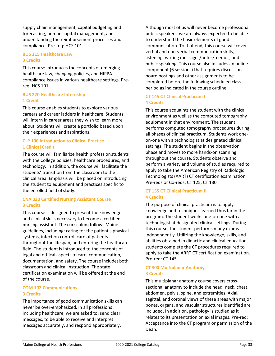supply chain management, capital budgeting and forecasting, human capital management, and understanding the reimbursement processes and compliance. Pre-req: HCS 101

## **BUS 215 Healthcare Law 3 Credits**

This course introduces the concepts of emerging healthcare law, changing policies, and HIPPA compliance issues in various healthcare settings. Prereq: HCS 101

# **BUS 220 Healthcare Internship 1 Credit**

This course enables students to explore various careers and career ladders in healthcare. Students will intern in career areas they wish to learn more about. Students will create a portfolio based upon their experiences and aspirations.

# **CLP 100 Introduction to Clinical Practice 1 Clinical Credit**

The course will familiarize health professionstudents with the College policies, healthcare procedures, and technology. In addition, the course will facilitate the students' transition from the classroom to the clinical area. Emphasis will be placed on introducing the student to equipment and practices specific to the enrolled field of study.

# **CNA 030 Certified Nursing Assistant Course 0 Credits**

This course is designed to present the knowledge and clinical skills necessary to become a certified nursing assistant. The curriculum follows Maine guidelines, including: caring for the patient's physical systems, infection control, care of patients throughout the lifespan, and entering the healthcare field. The student is introduced to the concepts of legal and ethical aspects of care, communication, documentation, and safety. The course includesboth classroom and clinical instruction. The state certification examination will be offered at the end of the course.

## **COM 102 Communications 3 Credits**

The importance of good communication skills can never be over-emphasized. In all professions including healthcare, we are asked to: send clear messages, to be able to receive and interpret messages accurately, and respond appropriately.

Although most of us will never become professional public speakers, we are always expected to be able to understand the basic elements of good communication. To that end, this course will cover verbal and non-verbal communication skills, listening, writing messages/notes/memos, and public speaking. This course also includes an online component (6 sessions) that requires discussion board postings and other assignments to be completed before the following scheduled class period as indicated in the course outline.

# **CT 145 CT Clinical Practicum I 4 Credits**

This course acquaints the student with the clinical environment as well as the computed tomography equipment in that environment. The student performs computed tomography procedures during all phases of clinical practicum. Students work oneon-one with a technologist at designated clinical settings. The student begins in the observation phase and moves to more hands-on scanning throughout the course. Students observe and perform a variety and volume of studies required to apply to take the American Registry of Radiologic Technologists (AART) CT certification examination. Pre-reqs or Co-reqs: CT 125, CT 130

## **CT 155 CT Clinical Practicum II 4 Credits**

The purpose of clinical practicum is to apply knowledge and techniques learned thus far in the program. The student works one-on-one with a technologist at designated clinical settings. During this course, the student performs many exams independently. Utilizing the knowledge, skills, and abilities obtained in didactic and clinical education, students complete the CT procedures required to apply to take the ARRT CT certification examination. Pre-req: CT 145

## **CT 300 Multiplanar Anatomy 3 Credits**

This multiplanar anatomy course covers crosssectional anatomy to include the head, neck, chest, abdomen, pelvis, spine, and extremities. Axial, sagittal, and coronal views of these areas with major bones, organs, and vascular structures identified are included. In addition, pathology is studied as it relates to its presentation on axial images. Pre-req: Acceptance into the CT program or permission of the Dean.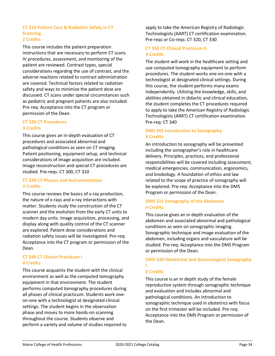## **CT 310 Patient Care & Radiation Safety in CT Scanning 2 Credits**

This course includes the patient preparation instructions that are necessary to perform CT scans. IV procedures, assessment, and monitoring of the patient are reviewed. Contrast types, special considerations regarding the use of contrast, and the adverse reactions related to contrast administration are covered. Technical factors related to radiation safety and ways to minimize the patient dose are discussed. CT scans under special circumstances such as pediatric and pregnant patients are also included. Pre-req: Acceptance into the CT program or permission of the Dean.

# **CT 320 CT Procedures 3 Credits**

This course gives an in-depth evaluation of CT procedures and associated abnormal and pathological conditions as seen on CT imaging. Patient positioning, equipment setup, and technical considerations of image acquisition are included. Image reconstruction and special CT procedures are studied. Pre-reqs: CT 300, CT 310

# **CT 330 CT Physics and Instrumentation 2 Credits**

This course reviews the basics of x-ray production, the nature of x-rays and x-ray interactions with matter. Students study the construction of the CT scanner and the evolution from the early CT units to modern day units. Image acquisition, processing, and display along with quality control of the CT scanner are explored. Patient dose considerations and radiation safety issues will be investigated. Pre-req: Acceptance into the CT program or permission of the Dean.

## **CT 340 CT Clinical Practicum I 4 Credits**

This course acquaints the student with the clinical environment as well as the computed tomography equipment in that environment. The student performs computed tomography procedures during all phases of clinical practicum. Students work oneon-one with a technologist at designated clinical settings. The student begins in the observation phase and moves to more hands-on scanning throughout the course. Students observe and perform a variety and volume of studies required to

apply to take the American Registry of Radiologic Technologists (AART) CT certification examination. Pre-reqs or Co-reqs: CT 320, CT 330

# **CT 350 CT Clinical Practicum II 4 Credits**

The student will work in the healthcare setting and use computed tomography equipment to perform procedures. The student works one-on-one with a technologist at designated clinical settings. During this course, the student performs many exams independently. Utilizing the knowledge, skills, and abilities obtained in didactic and clinical education, the student completes the CT procedures required to apply to take the American Registry of Radiologic Technologists (ARRT) CT certification examination. Pre-req: CT 340

# **DMS 301 Introduction to Sonography 3 Credits**

An introduction to sonography will be presented including the sonographer's role in healthcare delivery. Principles, practices, and professional responsibilities will be covered including assessment, medical emergencies, communication, ergonomics, and knobology. A foundation of ethics and law related to the scope of practice of sonography will be explored. Pre-req: Acceptance into the DMS Program or permission of the Dean.

# **DMS 311 Sonography of the Abdomen 4 Credits**

This course gives an in depth evaluation of the abdomen and associated abnormal and pathological conditions as seen on sonographic imaging. Sonographic technique and image evaluation of the abdomen, including organs and vasculature will be studied. Pre-req: Acceptance into the DMS Program or permission of the Dean.

# **DMS 320 Obstetrical and Gynecological Sonography I**

# **3 Credits**

This course is an in depth study of the female reproductive system through sonographic technique and evaluation and includes abnormal and pathological conditions. An introduction to sonographic technique used in obstetrics with focus on the first trimester will be included. Pre-req: Acceptance into the DMS Program or permission of the Dean.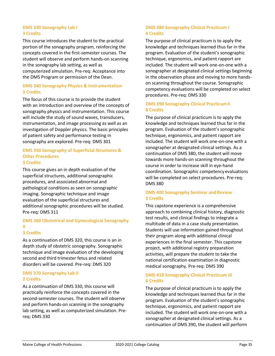#### **DMS 330 Sonography Lab I 3 Credits**

This course introduces the student to the practical portion of the sonography program, reinforcing the concepts covered in the first-semester courses. The student will observe and perform hands-on scanning in the sonography lab setting, as well as computerized simulation. Pre-req: Acceptance into the DMS Program or permission of the Dean.

## **DMS 340 Sonography Physics & Instrumentation 3 Credits**

The focus of this course is to provide the student with an introduction and overview of the concepts of sonography physics and instrumentation. This course will include the study of sound waves, transducers, instrumentation, and image processing as well as an investigation of Doppler physics. The basic principles of patient safety and performance testing in sonography are explored. Pre-req: DMS 301

#### **DMS 350 Sonography of Superficial Structures & Other Procedures 3 Credits**

This course gives an in depth evaluation of the superficial structures, additional sonographic procedures, and associated abnormal and pathological conditions as seen on sonographic imaging. Sonographic technique and image evaluation of the superficial structures and additional sonographic procedures will be studied. Pre-req: DMS 311

# **DMS 360 Obstetrical and Gynecological Sonography II**

## **3 Credits**

As a continuation of DMS 320, this course is an in depth study of obstetric sonography. Sonographic technique and image evaluation of the developing second and third trimester fetus and related disorders will be covered. Pre-req: DMS 320

## **DMS 370 Sonography Lab II 2 Credits**

As a continuation of DMS 330, this course will practically reinforce the concepts covered in the second-semester courses. The student will observe and perform hands-on scanning in the sonography lab setting, as well as computerized simulation. Prereq: DMS 330

# **DMS 380 Sonography Clinical Practicum I 4 Credits**

The purpose of clinical practicum is to apply the knowledge and techniques learned thus far in the program. Evaluation of the student's sonographic technique, ergonomics, and patient rapport are included. The student will work one-on-one with a sonographer at designated clinical settings beginning in the observation phase and moving to more handson scanning throughout the course. Sonographic competency evaluations will be completed on select procedures. Pre-req: DMS 330

# **DMS 390 Sonography Clinical PracticumII 8 Credits**

The purpose of clinical practicum is to apply the knowledge and techniques learned thus far in the program. Evaluation of the student's sonographic technique, ergonomics, and patient rapport are included. The student will work one-on-one with a sonographer at designated clinical settings. As a continuation of DMS 380, the student will move towards more hands-on scanning throughout the course in order to increase skill in eye-hand coordination. Sonographic competencyevaluations will be completed on select procedures. Pre-req: DMS 380

## **DMS 400 Sonography Seminar and Review 3 Credits**

This capstone experience is a comprehensive approach to combining clinical history, diagnostic test results, and clinical findings to integrate a multitude of data in a case study presentation. Students will use information gained throughout their program along with additional clinical experiences in the final semester. This capstone project, with additional registry preparation activities, will prepare the student to take the national certification examination in diagnostic medical sonography. Pre-req: DMS 390

# **DMS 410 Sonography Clinical Practicum III 6 Credits**

The purpose of clinical practicum is to apply the knowledge and techniques learned thus far in the program. Evaluation of the student's sonographic technique, ergonomics, and patient rapport are included. The student will work one-on-one with a sonographer at designated clinical settings. As a continuation of DMS 390, the student will perform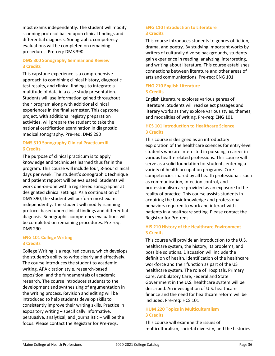most exams independently. The student will modify scanning protocol based upon clinical findings and differential diagnosis. Sonographic competency evaluations will be completed on remaining procedures. Pre-req: DMS 390

# **DMS 300 Sonography Seminar and Review 3 Credits**

This capstone experience is a comprehensive approach to combining clinical history, diagnostic test results, and clinical findings to integrate a multitude of data in a case study presentation. Students will use information gained throughout their program along with additional clinical experiences in the final semester. This capstone project, with additional registry preparation activities, will prepare the student to take the national certification examination in diagnostic medical sonography. Pre-req: DMS 290

# **DMS 310 Sonography Clinical PracticumIII 6 Credits**

The purpose of clinical practicum is to apply knowledge and techniques learned thus far in the program. This course will include four, 8-hour clinical days per week. The student's sonographic technique and patient rapport will be evaluated. Students will work one-on-one with a registered sonographer at designated clinical settings. As a continuation of DMS 390, the student will perform most exams independently. The student will modify scanning protocol based upon clinical findings and differential diagnosis. Sonographic competency evaluations will be completed on remaining procedures. Pre-req: DMS 290

## **ENG 101 College Writing 3 Credits**

College Writing is a required course, which develops the student's ability to write clearly and effectively. The course introduces the student to academic writing, APA citation style, research-based exposition, and the fundamentals of academic research. The course introduces students to the development and synthesizing of argumentation in the writing process. Revision and editing will be introduced to help students develop skills to consistently improve their writing skills. Practice in expository writing – specifically informative, persuasive, analytical, and journalistic – will be the focus. Please contact the Registrar for Pre-reqs.

# **ENG 110 Introduction to Literature 3 Credits**

This course introduces students to genres of fiction, drama, and poetry. By studying important works by writers of culturally diverse backgrounds, students gain experience in reading, analyzing, interpreting, and writing about literature. This course establishes connections between literature and other areas of arts and communications. Pre-req: ENG 101

# **ENG 210 English Literature 3 Credits**

English Literature explores various genres of literature. Students will read select passages and literary works as they explore various styles, themes, and modalities of writing. Pre-req: ENG 101

# **HCS 101 Introduction to Healthcare Science 3 Credits**

This course is designed as an introductory exploration of the healthcare sciences for entry-level students who are interested in pursuing a career in various health-related professions. This course will serve as a solid foundation for students entering a variety of health occupation programs. Core competencies shared by all health professionals such as communication, infection control, and professionalism are provided as an exposure to the reality of practice. This course assists students in acquiring the basic knowledge and professional behaviors required to work and interact with patients in a healthcare setting. Please contact the Registrar for Pre-reqs.

# **HIS 210 History of the Healthcare Environment 3 Credits**

This course will provide an introduction to the U.S. healthcare system, the history, its problems, and possible solutions. Discussion will include the definition of health, identification of the healthcare workforce and their function as part of the US healthcare system. The role of Hospitals, Primary Care, Ambulatory Care, Federal and State Government in the U.S. healthcare system will be described. An investigation of U.S. healthcare finance and the need for healthcare reform will be included. Pre-req: HCS 101

# **HUM 220 Topics in Multiculturalism 3 Credits**

This course will examine the issues of multiculturalism, societal diversity, and the histories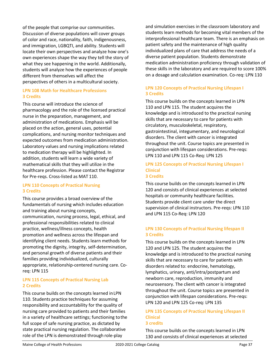of the people that comprise our communities. Discussion of diverse populations will cover groups of color and race, nationality, faith, indigenousness, and immigration, LGBQTI, and ability. Students will locate their own perspectives and analyze how one's own experiences shape the way they tell the story of what they see happening in the world. Additionally, students will analyze how the experiences of people different from themselves will affect the perspectives of others in a multicultural society.

# **LPN 108 Math for Healthcare Professions 3 Credits**

This course will introduce the science of pharmacology and the role of the licensed practical nurse in the preparation, management, and administration of medications. Emphasis will be placed on the action, general uses, potential complications, and nursing monitor techniques and expected outcomes from medication administration. Laboratory values and nursing implications related to medication therapy will be highlighted. In addition, students will learn a wide variety of mathematical skills that they will utilize in the healthcare profession. Please contact the Registrar for Pre-reqs. Cross-listed as MAT 110.

# **LPN 110 Concepts of Practical Nursing 3 Credits**

This course provides a broad overview of the fundamentals of nursing which includes education and training about nursing concepts, communication, nursing process, legal, ethical, and professional responsibilities related to clinical practice, wellness/illness concepts, health promotion and wellness across the lifespan and identifying client needs. Students learn methods for promoting the dignity, integrity, self-determination, and personal growth of diverse patients and their families providing individualized, culturally appropriate, relationship-centered nursing care. Coreq: LPN 115

# **LPN 115 Concepts of Practical Nursing Lab 2 Credits**

This course builds on the concepts learned inLPN 110. Students practice techniques for assuming responsibility and accountability for the quality of nursing care provided to patients and their families in a variety of healthcare settings; functioning tothe full scope of safe nursing practice, as dictated by state practical nursing regulation. The collaborative role of the LPN is demonstrated through role-play

and simulation exercises in the classroom laboratory and students learn methods for becoming vital members of the interprofessional healthcare team. There is an emphasis on patient safety and the maintenance of high quality individualized plans of care that address the needs of a diverse patient population. Students demonstrate medication administration proficiency through validation of these skills in the laboratory and are required to score 100% on a dosage and calculation examination. Co-req: LPN 110

# **LPN 120 Concepts of Practical Nursing Lifespan I 3 Credits**

This course builds on the concepts learned in LPN 110 and LPN 115. The student acquires the knowledge and is introduced to the practical nursing skills that are necessary to care for patients with circulatory, musculoskeletal, respiratory, gastrointestinal, integumentary, and neurological disorders. The client with cancer is integrated throughout the unit. Course topics are presented in conjunction with lifespan considerations. Pre-reqs: LPN 110 and LPN 115 Co-Req: LPN 125

## **LPN 125 Concepts of Practical Nursing Lifespan I Clinical 3 Credits**

This course builds on the concepts learned in LPN 120 and consists of clinical experiences at selected hospitals or community healthcare facilities. Students provide client care under the direct supervision of clinical instructors. Pre-reqs: LPN 110 and LPN 115 Co-Req: LPN 120

# **LPN 130 Concepts of Practical Nursing lifespan II 3 Credits**

This course builds on the concepts learned in LPN 120 and LPN 125. The student acquires the knowledge and is introduced to the practical nursing skills that are necessary to care for patients with disorders related to: endocrine, hematology, lymphatics, urinary, anti/intra/postpartum and newborn care, reproduction, immunity and neurosensory. The client with cancer is integrated throughout the unit. Course topics are presented in conjunction with lifespan considerations. Pre-reqs: LPN 120 and LPN 125 Co-req: LPN 135

## **LPN 135 Concepts of Practical Nursing Lifespan II Clinical 3 credits**

This course builds on the concepts learned in LPN 130 and consists of clinical experiences at selected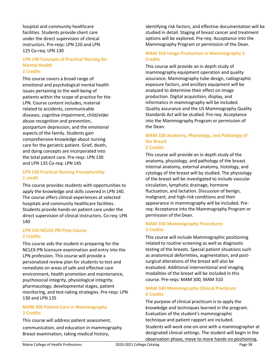hospital and community healthcare facilities. Students provide client care under the direct supervision of clinical instructors. Pre-reqs: LPN 120 and LPN 125 Co-req: LPN 130

#### **LPN 140 Concepts of Practical Nursing for Mental Health 2 Credits**

This course covers a broad range of emotional and psychological mental health issues pertaining to the well-being of patients within the scope of practice for the LPN. Course content includes, material related to accidents, communicable diseases, cognitive impairment, child/elder abuse recognition and prevention, postpartum depression, and the emotional aspects of the family. Students gain comprehensive knowledge about nursing care for the geriatric patient. Grief, death, and dying concepts are incorporated into the total patient care. Pre-reqs: LPN 130 and LPN 135 Co-req: LPN 145

# **LPN 145 Practical Nursing Preceptorship 1 credit**

This course provides students with opportunities to apply the knowledge and skills covered in LPN 140. The course offers clinical experiences at selected hospitals and community healthcare facilities. Students provide hands-on patient care under the direct supervision of clinical instructors. Co-req: LPN 140

# **LPN 150 NCLEX-PN Prep Course 2 Credits**

This course aids the student in preparing for the NCLEX-PN licensure examination and entry into the LPN profession. This course will provide a personalized review plan for students to test and remediate on areas of safe and effective care environment, health promotion and maintenance, psychosocial integrity, physiological integrity, pharmacology, developmental stages, patient monitoring, and test-taking strategies. Pre-reqs: LPN 130 and LPN 135

# **MAM 300 Patient Care in Mammography 2 Credits**

This course will address patient assessment, communication, and education in mammography. Breast examination, taking medical history,

identifying risk factors, and effective documentation will be studied in detail. Staging of breast cancer and treatment options will be explored. Pre-req: Acceptance into the Mammography Program or permission of the Dean.

# **MAM 310 Image Production in Mammography 3 Credits**

This course will provide an in depth study of mammography equipment operation and quality assurance. Mammography tube design, radiographic exposure factors, and ancillary equipment will be analyzed to determine their effect on image production. Digital acquisition, display, and informatics in mammography will be included. Quality assurance and the US Mammography Quality Standards Act will be studied. Pre-req: Acceptance into the Mammography Program or permission of the Dean.

#### **MAM 320 Anatomy, Physiology, and Pathology of the Breast 2 Credits**

This course will provide an in depth study of the anatomy, physiology, and pathology of the breast. Internal anatomy, external anatomy, histology, and cytology of the breast will by studied. The physiology of the breast will be investigated to include vascular circulation, lymphatic drainage, hormone fluctuation, and lactation. Discussion of benign, malignant, and high-risk conditions and their appearance in mammography will be included. Prereq: Acceptance into the Mammography Program or permission of the Dean.

## **MAM 330 Mammography Procedures 3 Credits**

This course will include Mammographic positioning related to routine screening as well as diagnostic testing of the breasts. Special patient situations such as anatomical deformities, augmentation, and postsurgical alterations of the breast will also be evaluated. Additional interventional and imaging modalities of the breast will be included in this course. Pre-reqs: MAM 300, MAM 310

# **MAM 340 Mammography Clinical Practicum 6 Credits**

The purpose of clinical practicum is to apply the knowledge and techniques learned in the program. Evaluation of the student's mammographic technique and patient rapport are included.

Students will work one-on-one with a mammographer at designated clinical settings. The student will begin in the observation phase, move to more hands-on positioning,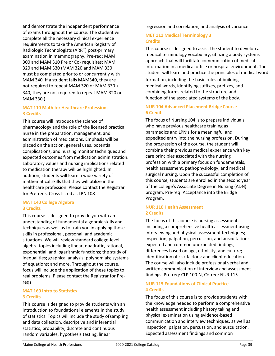and demonstrate the independent performance of exams throughout the course. The student will complete all the necessary clinical experience requirements to take the American Registry of Radiologic Technologists (ARRT) post-primary examination in mammography. Pre-req: MAM 300 and MAM 310 Pre or Co- requisites: MAM 320 and MAM 330 (MAM 320 and MAM 330 must be completed prior to or concurrently with MAM 340. If a student fails MAM340, they are not required to repeat MAM 320 or MAM 330.) 340, they are not required to repeat MAM 320 or MAM 330.)

# **MAT 110 Math for Healthcare Professions 3 Credits**

This course will introduce the science of pharmacology and the role of the licensed practical nurse in the preparation, management, and administration of medications. Emphasis will be placed on the action, general uses, potential complications, and nursing monitor techniques and expected outcomes from medication administration. Laboratory values and nursing implications related to medication therapy will be highlighted. In addition, students will learn a wide variety of mathematical skills that they will utilize in the healthcare profession. Please contact the Registrar for Pre-reqs. Cross-listed as LPN 108

# **MAT 140 College Algebra 3 Credits**

This course is designed to provide you with an understanding of fundamental algebraic skills and techniques as well as to train you in applying those skills in professional, personal, and academic situations. We will review standard college-level algebra topics including linear, quadratic, rational, exponential, and logarithmic functions; the study of inequalities; graphical analysis; polynomials; systems of equations; and more. Throughout the course, focus will include the application of these topics to real problems. Please contact the Registrar for Prereqs.

# **MAT 160 Intro to Statistics 3 Credits**

This course is designed to provide students with an introduction to foundational elements in the study of statistics. Topics will include the study ofsampling and data collection, descriptive and inferential statistics, probability, discrete and continuous random variables, hypothesis testing, linear

regression and correlation, and analysis of variance.

# **MET 111 Medical Terminology 3 Credits**

This course is designed to assist the student to develop a medical terminology vocabulary, utilizing a body systems approach that will facilitate communication of medical information in a medical office or hospital environment. The student will learn and practice the principles of medical word

formation, including the basic rules of building medical words, identifying suffixes, prefixes, and combining forms related to the structure and function of the associated systems of the body.

# **NUR 104 Advanced Placement Bridge Course 6 Credits**

The focus of Nursing 104 is to prepare individuals who have previous healthcare training as paramedics and LPN's for a meaningful and expedited entry into the nursing profession. During the progression of the course, the student will combine their previous medical experience with key care principles associated with the nursing profession with a primary focus on fundamentals, health assessment, pathophysiology, and medical surgical nursing. Upon the successful completion of this course, students are enrolled in the second year of the college's Associate Degree in Nursing (ADN) program. Pre-req: Acceptance into the Bridge Program.

# **NUR 110 Health Assessment 2 Credits**

The focus of this course is nursing assessment, including a comprehensive health assessment using interviewing and physical assessment techniques; inspection, palpation, percussion, and auscultation; expected and common unexpected findings; differences based on age, ethnicity, and culture; identification of risk factors; and client education. The course will also include professional verbal and written communication of interview and assessment findings. Pre-req: CLP 100-N, Co-req: NUR 115

# **NUR 115 Foundations of Clinical Practice 4 Credits**

The focus of this course is to provide students with the knowledge needed to perform a comprehensive health assessment including history taking and physical examination using evidence-based communication and interview techniques, as well as inspection, palpation, percussion, and auscultation. Expected assessment findings and common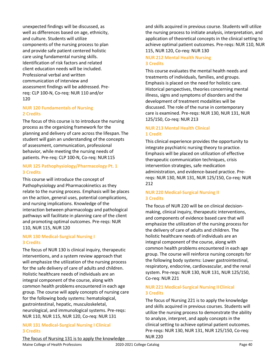unexpected findings will be discussed, as well as differences based on age, ethnicity, and culture. Students will utilize components of the nursing process to plan and provide safe patient centered holistic care using fundamental nursing skills. Identification of risk factors and related client education needs will be included. Professional verbal and written communication of interview and assessment findings will be addressed. Prereq: CLP 100-N, Co-req: NUR 110 and/or 120

# **NUR 120 Fundamentals of Nursing 2 Credits**

The focus of this course is to introduce the nursing process as the organizing framework for the planning and delivery of care across the lifespan. The student will gain an understanding of the concepts of assessment, communication, professional behavior, while meeting the nursing needs of patients. Pre-req: CLP 100-N, Co-req: NUR115

# **NUR 125 Pathophysiology/Pharmacology Pt. 1 3 Credits**

This course will introduce the concept of Pathophysiology and Pharmacokinetics as they relate to the nursing process. Emphasis will be places on the action, general uses, potential complications, and nursing implications. Knowledge of the interaction between pharmacology and pathological pathways will facilitate in planning care of the client and promoting optimal outcomes. Pre-reqs: NUR 110, NUR 115, NUR 120

## **NUR 130 Medical-Surgical Nursing I 3 Credits**

The focus of NUR 130 is clinical inquiry, therapeutic interventions, and a system review approach that will emphasize the utilization of the nursing process for the safe delivery of care of adults and children. Holistic healthcare needs of individuals are an integral component of the course, along with common health problems encountered in each age group. The course will apply concepts of nursing care for the following body systems: hematological, gastrointestinal, hepatic, musculoskeletal, neurological, and immunological systems. Pre-reqs: NUR 110, NUR 115, NUR 120, Co-req: NUR 131

# **NUR 131 Medical-Surgical Nursing I Clinical 3 Credits**

The focus of Nursing 131 is to apply the knowledge

and skills acquired in previous course. Students will utilize the nursing process to initiate analysis, interpretation, and application of theoretical concepts in the clinical setting to achieve optimal patient outcomes. Pre-reqs: NUR 110, NUR 115, NUR 120, Co-req: NUR 130

# **NUR 212 Mental Health Nursing 3 Credits**

This course evaluates the mental health needs and treatments of individuals, families, and groups. Emphasis is placed on the need for holistic care. Historical perspectives, theories concerning mental illness, signs and symptoms of disorders and the development of treatment modalities will be discussed. The role of the nurse in contemporary care is examined. Pre-reqs: NUR 130, NUR 131, NUR 125/150, Co-req: NUR 213

# **NUR 213 Mental Health Clinical 1 Credit**

This clinical experience provides the opportunity to integrate psychiatric nursing theory to practice. Emphasis will be placed on utilization of effective therapeutic communication techniques, crisis intervention strategies, safe medication administration, and evidence-based practice. Prereqs: NUR 130, NUR 131, NUR 125/150, Co-req: NUR 212

## **NUR 220 Medical-Surgical Nursing II 3 Credits**

The focus of NUR 220 will be on clinical decisionmaking, clinical inquiry, therapeutic interventions, and components of evidence based care that will emphasize the utilization of the nursing process for the delivery of care of adults and children. The holistic healthcare needs of individuals are an integral component of the course, along with common health problems encountered in each age group. The course will reinforce nursing concepts for the following body systems: Lower gastrointestinal, respiratory, endocrine, cardiovascular, and the renal system. Pre-reqs: NUR 130, NUR 131, NUR 125/150, Co-req: NUR 221

# **NUR 221 Medical-Surgical Nursing IIClinical 3 Credits**

The focus of Nursing 221 is to apply the knowledge and skills acquired in previous courses. Students will utilize the nursing process to demonstrate the ability to analyze, interpret, and apply concepts in the clinical setting to achieve optimal patient outcomes. Pre-reqs: NUR 130, NUR 131, NUR 125/150, Co-req: NUR 220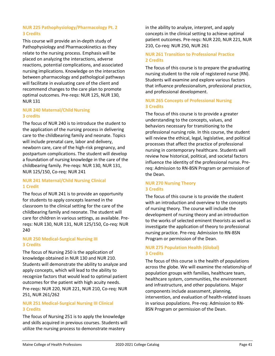# **NUR 225 Pathophysiology/Pharmacology Pt. 2 3 Credits**

This course will provide an in-depth study of Pathophysiology and Pharmacokinetics as they relate to the nursing process. Emphasis will be placed on analyzing the interactions, adverse reactions, potential complications, and associated nursing implications. Knowledge on the interaction between pharmacology and pathological pathways will facilitate in evaluating care of the client and recommend changes to the care plan to promote optimal outcomes. Pre-reqs: NUR 125, NUR 130, NUR 131

# **NUR 240 Maternal/Child Nursing 3 credits**

The focus of NUR 240 is to introduce the student to the application of the nursing process in delivering care to the childbearing family and neonate. Topics will include prenatal care, labor and delivery, newborn care, care of the high-risk pregnancy, and postpartum complications. The student will develop a foundation of nursing knowledge in the care of the childbearing family. Pre-reqs: NUR 130, NUR 131, NUR 125/150, Co-req: NUR 241

# **NUR 241 Maternal/Child Nursing Clinical 1 Credit**

The focus of NUR 241 is to provide an opportunity for students to apply concepts learned in the classroom to the clinical setting for the care of the childbearing family and neonate. The student will care for children in various settings, as available. Prereqs: NUR 130, NUR 131, NUR 125/150, Co-req: NUR 240

## **NUR 250 Medical-Surgical Nursing III 3 Credits**

The focus of Nursing 250 is the application of knowledge obtained in NUR 130 and NUR 210. Students will demonstrate the ability to analyze and apply concepts, which will lead to the ability to recognize factors that would lead to optimal patient outcomes for the patient with high acuity needs. Pre-reqs: NUR 220, NUR 221, NUR 210, Co-req: NUR 251, NUR 261/262

# **NUR 251 Medical-Surgical Nursing III Clinical 3 Credits**

The focus of Nursing 251 is to apply the knowledge and skills acquired in previous courses. Students will utilize the nursing process to demonstrate mastery

in the ability to analyze, interpret, and apply concepts in the clinical setting to achieve optimal patient outcomes. Pre-reqs: NUR 220, NUR 221, NUR 210, Co-req: NUR 250, NUR 261

# **NUR 261 Transition to Professional Practice 2 Credits**

The focus of this course is to prepare the graduating nursing student to the role of registered nurse (RN). Students will examine and explore various factors that influence professionalism, professional practice, and professional development.

# **NUR 265 Concepts of Professional Nursing 3 Credits**

The focus of this course is to provide a greater understanding to the concepts, values, and behaviors necessary for transitioning to the professional nursing role. In this course, the student will review the ethical, legal, legislative, and political processes that affect the practice of professional nursing in contemporary healthcare. Students will review how historical, political, and societal factors influence the identity of the professional nurse. Prereq: Admission to RN-BSN Program or permission of the Dean.

# **NUR 270 Nursing Theory 3 Credits**

The focus of this course is to provide the student with an introduction and overview to the concepts of nursing theory. The course will include the development of nursing theory and an introduction to the works of selected eminent theorists as well as investigate the application of theory to professional nursing practice. Pre-req: Admission to RN-BSN Program or permission of the Dean.

# **NUR 275 Population Health (Global) 3 Credits**

The focus of this course is the health of populations across the globe. We will examine the relationship of population groups with families, healthcare team, healthcare system, communities, the environment and infrastructure, and other populations. Major components include assessment, planning, intervention, and evaluation of health-related issues in various populations. Pre-req: Admission to RN-BSN Program or permission of the Dean.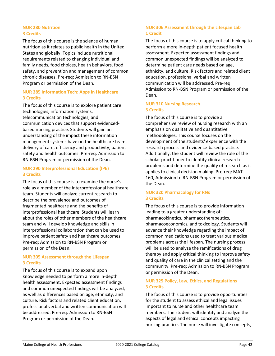# **NUR 280 Nutrition 3 Credits**

The focus of this course is the science of human nutrition as it relates to public health in the United States and globally. Topics include nutritional requirements related to changing individual and family needs, food choices, health behaviors, food safety, and prevention and management of common chronic diseases. Pre-req: Admission to RN-BSN Program or permission of the Dean.

# **NUR 285 Information Tech: Apps in Healthcare 3 Credits**

The focus of this course is to explore patient care technologies, information systems, telecommunication technologies, and communication devices that support evidencedbased nursing practice. Students will gain an understanding of the impact these information management systems have on the healthcare team, delivery of care, efficiency and productivity, patient safety and health outcomes. Pre-req: Admission to RN-BSN Program or permission of the Dean.

# **NUR 290 Interprofessional Education (IPE) 3 Credits**

The focus of this course is to examine the nurse's role as a member of the interprofessional healthcare team. Students will analyze current research to describe the prevalence and outcomes of fragmented healthcare and the benefits of interprofessional healthcare. Students will learn about the roles of other members of the healthcare team and will develop knowledge and skills in interprofessional collaboration that can be used to improve patient safety and healthcare outcomes. Pre-req: Admission to RN-BSN Program or permission of the Dean.

# **NUR 305 Assessment through the Lifespan 3 Credits**

The focus of this course is to expand upon knowledge needed to perform a more in-depth health assessment. Expected assessment findings and common unexpected findings will be analyzed, as well as differences based on age, ethnicity, and culture. Risk factors and related client education, professional verbal and written communication will be addressed. Pre-req: Admission to RN-BSN Program or permission of the Dean.

# **NUR 306 Assessment through the Lifespan Lab 1 Credit**

The focus of this course is to apply critical thinking to perform a more in-depth patient focused health assessment. Expected assessment findings and common unexpected findings will be analyzed to determine patient care needs based on age, ethnicity, and culture. Risk factors and related client education, professional verbal and written communication will be addressed. Pre-req: Admission to RN-BSN Program or permission of the Dean.

# **NUR 310 Nursing Research 3 Credits**

The focus of this course is to provide a comprehensive review of nursing research with an emphasis on qualitative and quantitative methodologies. This course focuses on the development of the students' experience with the research process and evidence-based practice. Additionally, the student will review the role of the scholar practitioner to identify clinical research problems and determine the quality of research as it applies to clinical decision making. Pre-req: MAT 160, Admission to RN-BSN Program or permission of the Dean.

## **NUR 320 Pharmacology for RNs 3 Credits**

The focus of this course is to provide information leading to a greater understanding of: pharmacokinetics, pharmacotherapeutics, pharmacoeconomics, and toxicology. Students will advance their knowledge regarding the impact of common medications used to treat various medical problems across the lifespan. The nursing process will be used to analyze the ramifications of drug therapy and apply critical thinking to improve safety and quality of care in the clinical setting and the community. Pre-req: Admission to RN-BSN Program or permission of the Dean.

# **NUR 325 Policy, Law, Ethics, and Regulations 3 Credits**

The focus of this course is to provide opportunities for the student to assess ethical and legal issues important to nurse and other healthcare team members. The student will identify and analyze the aspects of legal and ethical concepts impacting nursing practice. The nurse will investigate concepts,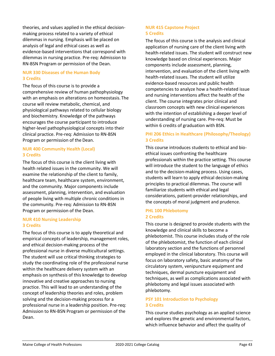theories, and values applied in the ethical decisionmaking process related to a variety of ethical dilemmas in nursing. Emphasis will be placed on analysis of legal and ethical cases as well as evidence-based interventions that correspond with dilemmas in nursing practice. Pre-req: Admission to RN-BSN Program or permission of the Dean.

## **NUR 330 Diseases of the Human Body 3 Credits**

The focus of this course is to provide a comprehensive review of human pathophysiology with an emphasis on alterations on homeostasis. The course will review metabolic, chemical, and physiological pathways related to cellular biology and biochemistry. Knowledge of the pathways encourages the course participant to introduce higher-level pathophysiological concepts into their clinical practice. Pre-req: Admission to RN-BSN Program or permission of the Dean.

# **NUR 400 Community Health (Local) 3 Credits**

The focus of this course is the client living with health related issues in the community. We will examine the relationship of the client to family, healthcare team, healthcare system, environment, and the community. Major components include assessment, planning, intervention, and evaluation of people living with multiple chronic conditions in the community. Pre-req: Admission to RN-BSN Program or permission of the Dean.

# **NUR 410 Nursing Leadership 3 Credits**

The focus of this course is to apply theoretical and empirical concepts of leadership, management roles, and ethical decision-making process of the professional nurse in diverse multicultural settings. The student will use critical thinking strategies to study the coordinating role of the professional nurse within the healthcare delivery system with an emphasis on synthesis of this knowledge to develop innovative and creative approaches to nursing practice. This will lead to an understanding of the concept of leadership theories and roles, problem solving and the decision-making process for a professional nurse in a leadership position. Pre-req: Admission to RN-BSN Program or permission of the Dean.

# **NUR 415 Capstone Project 5 Credits**

The focus of this course is the analysis and clinical application of nursing care of the client living with health-related issues. The student will construct new knowledge based on clinical experiences. Major components include assessment, planning, intervention, and evaluation of the client living with health-related issues. The student will utilize evidence-based resources and public health competencies to analyze how a health-related issue and nursing interventions affect the health of the client. The course integrates prior clinical and classroom concepts with new clinical experiences with the intention of establishing a deeper level of understanding of nursing care. Pre-req: Must be within 6 credits of graduation with BSN.

# **PHI 206 Ethics in Healthcare (Philosophy/Theology) 3 Credits**

This course introduces students to ethical and bioethical issues confronting the healthcare professionals within the practice setting. This course will introduce the student to the language of ethics and to the decision-making process. Using cases, students will learn to apply ethical decision-making principles to practical dilemmas. The course will familiarize students with ethical and legal considerations, patient-provider relationships, and the concepts of moral judgment and prudence.

## **PHL 100 Phlebotomy 2 Credits**

This course is designed to provide students with the knowledge and clinical skills to become a phlebotomist. This course includes study of the role of the phlebotomist, the function of each clinical laboratory section and the functions of personnel employed in the clinical laboratory. This course will focus on laboratory safety, basic anatomy of the circulatory system, venipuncture equipment and techniques, dermal puncture equipment and techniques, as well as complications associated with phlebotomy and legal issues associated with phlebotomy.

# **PSY 101 Introduction to Psychology 3 Credits**

This course studies psychology as an applied science and explores the genetic and environmental factors, which influence behavior and affect the quality of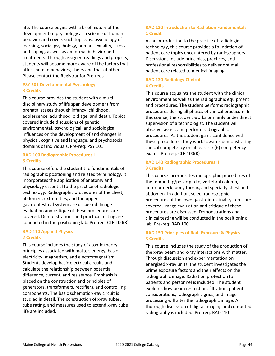life. The course begins with a brief history of the development of psychology as a science of human behavior and covers such topics as: psychology of learning, social psychology, human sexuality, stress and coping, as well as abnormal behavior and treatments. Through assigned readings and projects, students will become more aware of the factors that affect human behaviors; theirs and that of others. Please contact the Registrar for Pre-reqs

## **PSY 201 Developmental Psychology 3 Credits**

This course provides the student with a multidisciplinary study of life span development from prenatal stages through infancy, childhood, adolescence, adulthood, old age, and death. Topics covered include discussions of genetic, environmental, psychological, and sociological influences on the development of and changes in physical, cognitive and language, and psychosocial domains of individuals. Pre-req: PSY 101

## **RAD 100 Radiographic Procedures I 3 Credits**

This course offers the student the fundamentals of radiographic positioning and related terminology. It incorporates the application of anatomy and physiology essential to the practice of radiologic technology. Radiographic procedures of the chest, abdomen, extremities, and the upper gastrointestinal system are discussed. Image evaluation and critique of these procedures are covered. Demonstrations and practical testing are conducted in the positioning lab. Pre-req: CLP 100(R)

## **RAD 110 Applied Physics 2 Credits**

This course includes the study of atomic theory, principles associated with matter, energy, basic electricity, magnetism, and electromagnetism. Students develop basic electrical circuits and calculate the relationship between potential difference, current, and resistance. Emphasis is placed on the construction and principles of generators, transformers, rectifiers, and controlling components. The basic schematic x-ray circuit is studied in detail. The construction of x-ray tubes, tube rating, and measures used to extend x-ray tube life are included.

# **RAD 120 Introduction to Radiation Fundamentals 1 Credit**

As an introduction to the practice of radiologic technology, this course provides a foundation of patient care topics encountered by radiographers. Discussions include principles, practices, and professional responsibilities to deliver optimal patient care related to medical imaging.

# **RAD 130 Radiology Clinical I 4 Credits**

This course acquaints the student with the clinical environment as well as the radiographic equipment and procedures. The student performs radiographic procedures during all phases of clinical practicum. In this course, the student works primarily under direct supervision of a technologist. The student will observe, assist, and perform radiographic procedures. As the student gains confidence with these procedures, they work towards demonstrating clinical competency on at least six (6) competency exams. Pre-req: CLP 100(R)

# **RAD 140 Radiographic Procedures II 3 Credits**

This course incorporates radiographic procedures of the femur, hip/pelvic girdle, vertebral column, anterior neck, bony thorax, and specialty chest and abdomen. In addition, select radiographic procedures of the lower gastrointestinal systems are covered. Image evaluation and critique of these procedures are discussed. Demonstrations and clinical testing will be conducted in the positioning lab. Pre-req: RAD 100

# **RAD 150 Principles of Rad. Exposure & Physics I 3 Credits**

This course includes the study of the production of the x-ray beam and x-ray interactions with matter. Through discussion and experimentation on energized x-ray units, the student investigates the prime exposure factors and their effects on the radiographic image. Radiation protection for patients and personnel is included. The student explores how beam restriction, filtration, patient considerations, radiographic grids, and image processing will alter the radiographic image. A thorough discussion of digital imaging andcomputed radiography is included. Pre-req: RAD110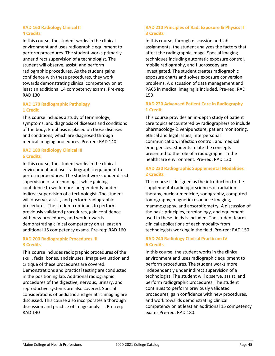## **RAD 160 Radiology Clinical II 4 Credits**

In this course, the student works in the clinical environment and uses radiographic equipment to perform procedures. The student works primarily under direct supervision of a technologist. The student will observe, assist, and perform radiographic procedures. As the student gains confidence with these procedures, they work towards demonstrating clinical competency on at least an additional 14 competency exams. Pre-req: RAD 130

# **RAD 170 Radiographic Pathology 1 Credit**

This course includes a study of terminology, symptoms, and diagnosis of diseases and conditions of the body. Emphasis is placed on those diseases and conditions, which are diagnosed through medical imaging procedures. Pre-req: RAD 140

# **RAD 180 Radiology Clinical III 6 Credits**

In this course, the student works in the clinical environment and uses radiographic equipment to perform procedures. The student works under direct supervision of a technologist while gaining confidence to work more independently under indirect supervision of a technologist. The student will observe, assist, and perform radiographic procedures. The student continues to perform previously validated procedures, gain confidence with new procedures, and work towards demonstrating clinical competency on at least an additional 15 competency exams. Pre-req: RAD 160

## **RAD 200 Radiographic Procedures III 3 Credits**

This course includes radiographic procedures of the skull, facial bones, and sinuses. Image evaluation and critique of these procedures are covered. Demonstrations and practical testing are conducted in the positioning lab. Additional radiographic procedures of the digestive, nervous, urinary, and reproductive systems are also covered. Special considerations of pediatric and geriatric imaging are discussed. This course also incorporates a thorough discussion and practice of image analysis. Pre-req: RAD 140

# **RAD 210 Principles of Rad. Exposure & Physics II 3 Credits**

In this course, through discussion and lab assignments, the student analyzes the factors that affect the radiographic image. Special imaging techniques including automatic exposure control, mobile radiography, and fluoroscopy are investigated. The student creates radiographic exposure charts and solves exposure conversion problems. A discussion of data management and PACS in medical imaging is included. Pre-req: RAD 150

# **RAD 220 Advanced Patient Care in Radiography 1 Credit**

This course provides an in-depth study of patient care topics encountered by radiographers to include pharmacology & venipuncture, patient monitoring, ethical and legal issues, interpersonal communication, infection control, and medical emergencies. Students relate the concepts presented to the role of a radiographer in the healthcare environment. Pre-req: RAD 120

# **RAD 230 Radiographic Supplemental Modalities 2 Credits**

This course is designed as the introduction to the supplemental radiologic sciences of radiation therapy, nuclear medicine, sonography, computed tomography, magnetic resonance imaging, mammography, and absorptiometry. A discussion of the basic principles, terminology, and equipment used in these fields is included. The student learns clinical applications of each modality from technologists working in the field. Pre-req: RAD 150

# **RAD 240 Radiology Clinical Practicum IV 6 Credits**

In this course, the student works in the clinical environment and uses radiographic equipment to perform procedures. The student works more independently under indirect supervision of a technologist. The student will observe, assist, and perform radiographic procedures. The student continues to perform previously validated procedures, gain confidence with new procedures, and work towards demonstrating clinical competency on at least an additional 15 competency exams Pre-req: RAD 180.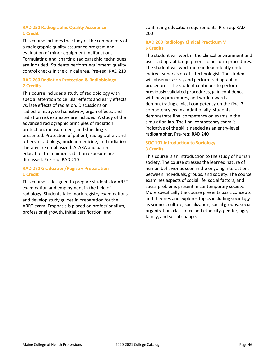## **RAD 250 Radiographic Quality Assurance 1 Credit**

This course includes the study of the components of a radiographic quality assurance program and evaluation of minor equipment malfunctions. Formulating and charting radiographic techniques are included. Students perform equipment quality control checks in the clinical area. Pre-req: RAD 210

# **RAD 260 Radiation Protection & Radiobiology 2 Credits**

This course includes a study of radiobiology with special attention to cellular effects and early effects vs. late effects of radiation. Discussions on radiochemistry, cell sensitivity, organ effects, and radiation risk estimates are included. A study of the advanced radiographic principles of radiation protection, measurement, and shielding is presented. Protection of patient, radiographer, and others in radiology, nuclear medicine, and radiation therapy are emphasized. ALARA and patient education to minimize radiation exposure are discussed. Pre-req: RAD 210

# **RAD 270 Graduation/Registry Preparation 1 Credit**

This course is designed to prepare students for ARRT examination and employment in the field of radiology. Students take mock registry examinations and develop study guides in preparation for the ARRT exam. Emphasis is placed on professionalism, professional growth, initial certification, and

continuing education requirements. Pre-req: RAD 200

# **RAD 280 Radiology Clinical Practicum V 6 Credits**

The student will work in the clinical environment and uses radiographic equipment to perform procedures. The student will work more independently under indirect supervision of a technologist. The student will observe, assist, and perform radiographic procedures. The student continues to perform previously validated procedures, gain confidence with new procedures, and work towards demonstrating clinical competency on the final 7 competency exams. Additionally, students demonstrate final competency on exams in the simulation lab. The final competency exam is indicative of the skills needed as an entry-level radiographer. Pre-req: RAD 240

# **SOC 101 Introduction to Sociology 3 Credits**

This course is an introduction to the study of human society. The course stresses the learned nature of human behavior as seen in the ongoing interactions between individuals, groups, and society. The course examines aspects of social life, social factors, and social problems present in contemporary society. More specifically the course presents basic concepts and theories and explores topics including sociology as science, culture, socialization, social groups, social organization, class, race and ethnicity, gender, age, family, and social change.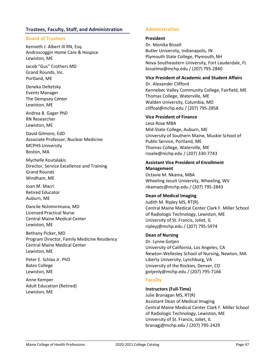# <span id="page-50-0"></span>**Trustees, Faculty, Staff, and Administration**

## **Board of Trustees**

Kenneth J. Albert III RN, Esq. Androscoggin Home Care & Hospice Lewiston, ME

Jacob "Gus" Crothers MD Grand Rounds, Inc. Portland, ME

Deneka Deltetsky Events Manager The Dempsey Center Lewiston, ME

Andrea B. Gager PhD RN Researcher Lewiston, ME

David Gilmore, EdD Associate Professor, Nuclear Medicine MCPHS University Boston, MA

Mychelle Koutalakis Director, Service Excellence and Training Grand Rounds Windham, ME

Joan M. Macri Retired Educator Auburn, ME

Dancile Nshimirimana, MD Licensed Practical Nurse Central Maine Medical Center Lewiston, ME

Bethany Picker, MD Program Director, Family Medicine Residency Central Maine Medical Center Lewiston, ME

Peter E. Schlax Jr. PhD Bates College Lewiston, ME

Anne Kemper Adult Education (Retired) Lewiston, ME

# <span id="page-50-2"></span><span id="page-50-1"></span>**Administration**

## **President**

Dr. Monika Bissell Butler University, Indianapolis, IN Plymouth State College, Plymouth, NH Nova-Southeastern University, Fort Lauderdale, FL [bisselmo@mchp.edu /](mailto:bisselmo@mchp.edu) (207) 795-2840

## **Vice President of Academic and Student Affairs**

Dr. Alexander Clifford Kennebec Valley Community College, Fairfield, ME Thomas College, Waterville, ME Walden University, Columbia, M[D](mailto:cliffoal@mchp.edu) [cliffoal@mchp.edu /](mailto:cliffoal@mchp.edu) (207) 795-2858

## **Vice President of Finance**

Lesa Rose MBA Mid-State College, Auburn, ME University of Southern Maine, Muskie School of Public Service, Portland, ME Thomas College, Waterville, ME [rosele@mchp.edu /](mailto:rosele@mchp.edu) (207) 330-7743

# **Assistant Vice President of Enrollment Management**

Octavie M. Nkama, MBA Wheeling Jesuit University, Wheeling, W[V](mailto:nkamaoc@mchp.edu) [nkamaoc@mchp.edu /](mailto:nkamaoc@mchp.edu) (207) 795-2843

## **Dean of Medical Imaging**

Judith M. Ripley MS, RT(R) Central Maine Medical Center Clark F. Miller School of Radiologic Technology, Lewiston, ME University of St. Francis, Joliet, IL [ripleyj@mchp.edu /](mailto:ripleyj@mchp.edu) (207) 795-5974

## **Dean of Nursing**

Dr. Lynne Gotjen University of California, Los Angeles, CA Newton-Wellesley School of Nursing, Newton, MA Liberty University, Lynchburg, VA University of the Rockies, Denver, C[O](mailto:gotjenly@mchp.edu) [gotjenly@mchp.edu /](mailto:gotjenly@mchp.edu) (207) 795-7166

# <span id="page-50-3"></span>**Faculty**

#### **Instructors (Full-Time)**

Julie Branagan MS, RT(R) Assistant Dean of Medical Imaging Central Maine Medical Center Clark F. Miller School of Radiologic Technology, Lewiston, ME University of St. Francis, Joliet, I[L](mailto:branagj@mchp.edu) [branagj@mchp.edu /](mailto:branagj@mchp.edu) (207) 795-2429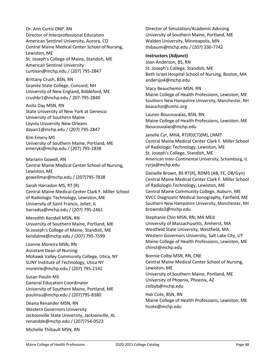[harradsa@mchp.edu /](mailto:harradsa@mchp.edu) (207) 795-2461 Meredith Kendall MSN, RN

Sarah Harradon MS, RT (R)

Dr. Ann Curtis DNP, RN

American Sentinel Universit[y](mailto:curtisan@mchp.edu)

University of Southern Maine Loyola University New Orlean[s](mailto:dayan1@mchp.edu) [dayan1@mchp.edu /](mailto:dayan1@mchp.edu) (207) 795-2847

Brittany Crush, BSN, RN

Anita Day MSN, RN

Kim Emery MS

Lewiston, ME

Mariann Gowell, RN

Lewiston, ME

Director of Interprofessional Education American Sentinel University, Aurora, CO

Central Maine Medical Center School of Nursing,

St. Joseph's College of Maine, Standish, ME

University of New England, Biddeford, M[E](mailto:crushbr1@mchp.edu) [crushbr1@mchp.edu /](mailto:crushbr1@mchp.edu) 207-795-2840

State University of New York at Genesco

University of Southern Maine, Portland, ME [emeryki@mchp.edu /](mailto:emeryki@mchp.edu) (207) 795-2838

[gowellmar@mchp.edu /](mailto:gowellmar@mchp.edu) (207)795-7838

of Radiologic Technology, Lewiston, ME University of Saint Francis, Joliet, I[L](mailto:harradsa@mchp.edu)

Central Maine Medical Center School of Nursing,

Central Maine Medical Center Clark F. Miller School

[curtisan@mchp.edu /](mailto:curtisan@mchp.edu) (207) 795-2847

Granite State College, Concord, NH

St Joseph's College of Maine, Standish, ME [kendalme@mchp.edu /](mailto:kendalme@mchp.edu) (207) 795-7599 Leanne Moreira MSN, RN

University of Southern Maine, Portland, ME

Assistant Dean of Nursing Mohawk Valley Community College, Utica, NY SUNY Institute of Technology, Utica N[Y](mailto:moreirle@mchp.edu) [moreirle@mchp.edu /](mailto:moreirle@mchp.edu) (207) 795-2141

Susan Poulin MS General Education Coordinator University of Southern Maine, Portland, M[E](mailto:poulinsu@mchp.edu) [poulinsu@mchp.edu /](mailto:poulinsu@mchp.edu) (207)795-8380

Deana Renander MSN, RN Western Governors University Jacksonville State University, Jacksonville, AL [renandde@mchp.edu /](mailto:renandde@mchp.edu) (207)754-0523

Director of Simulation/Academic Advising University of Southern Maine, Portland, ME Walden University, Minneapolis, M[N](mailto:thibaumi@mchp.edu) [thibaumi@mchp.edu /](mailto:thibaumi@mchp.edu) (207) 330-7742

## **Instructors (Adjunct)**

Joan Anderson, BS, RN St. Joseph's College, Standish, ME Beth Israel Hospital School of Nursing, Boston, MA [andersjo4@mchp.edu](mailto:andersjo4@mchp.edu)

Stacy Beauchemin MSN, RN Maine College of Health Professions, Lewiston, ME Southern New Hampshire University, Manchester, NH [beauchst@cmhc.org](mailto:beauchst@cmhc.org)

Lauren Boucouvalas, BSN, RN Maine College of Health Professions, Lewiston, M[E](mailto:lboucouvalas@mchp.edu) [lboucouvalas@mchp.edu](mailto:lboucouvalas@mchp.edu)

Janelle Cyr, MHA, RT(R)(CT)(M), LNMT Central Maine Medical Center Clark F. Miller School of Radiologic Technology, Lewiston, ME St. Joseph's College, Standish, ME American Inter-Continental University, Schamburg, IL [cyrja@mchp.edu](mailto:cyrja@mchp.edu)

Danielle Brown, BS RT(R), RDMS (AB, FE, OB/Gyn) Central Maine Medical Center Clark F. Miller School of Radiologic Technology, Lewiston, ME Central Maine Community College, Auburn, ME KVCC Diagnostic Medical Sonography, Fairfield, ME Southern New Hampshire University, Manchester, NH [brownda3@mchp.edu](mailto:brownda3@mchp.edu)

Stephanie Chin MSN, RN; MA MEd University of Massachusetts, Amherst, MA Westfield State University, Westfield, MA Western Governors University, Salt Lake City, UT Maine College of Health Professions, Lewiston, M[E](mailto:chinst@mchp.edu) [chinst@mchp.edu](mailto:chinst@mchp.edu)

Bonnie Colby MSN, RN, CNE Central Maine Medical Center School of Nursing, Lewiston, ME University of Southern Maine, Portland, ME University of Phoenix, Phoenix, A[Z](mailto:colbyb@mchp.edu) [colbyb@mchp.edu](mailto:colbyb@mchp.edu)

Hali Cote, BSN, RN Maine College of Health Professions, Lewiston, M[E](mailto:hcote@mchp.edu) [hcote@mchp.edu](mailto:hcote@mchp.edu)